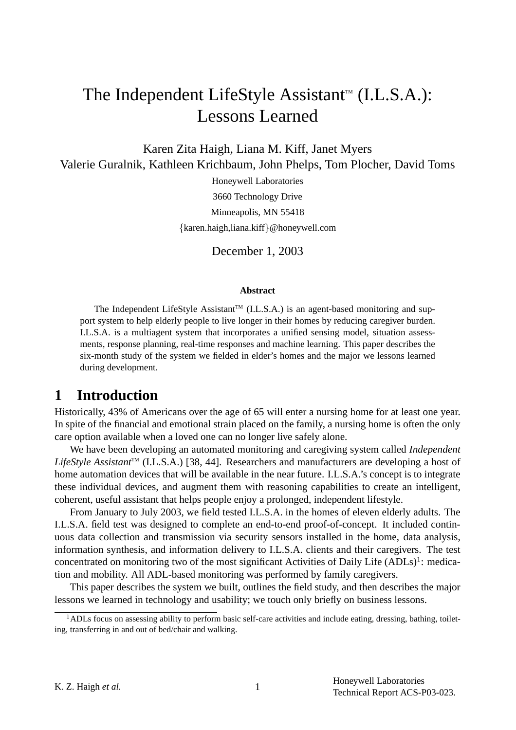# The Independent LifeStyle Assistant<sup> $M$ </sup> (I.L.S.A.): Lessons Learned

Karen Zita Haigh, Liana M. Kiff, Janet Myers Valerie Guralnik, Kathleen Krichbaum, John Phelps, Tom Plocher, David Toms

> Honeywell Laboratories 3660 Technology Drive Minneapolis, MN 55418 {karen.haigh,liana.kiff}@honeywell.com

> > December 1, 2003

#### **Abstract**

The Independent LifeStyle Assistant<sup>TM</sup> (I.L.S.A.) is an agent-based monitoring and support system to help elderly people to live longer in their homes by reducing caregiver burden. I.L.S.A. is a multiagent system that incorporates a unified sensing model, situation assessments, response planning, real-time responses and machine learning. This paper describes the six-month study of the system we fielded in elder's homes and the major we lessons learned during development.

# **1 Introduction**

Historically, 43% of Americans over the age of 65 will enter a nursing home for at least one year. In spite of the financial and emotional strain placed on the family, a nursing home is often the only care option available when a loved one can no longer live safely alone.

We have been developing an automated monitoring and caregiving system called *Independent* LifeStyle Assistant<sup>™</sup> (I.L.S.A.) [38, 44]. Researchers and manufacturers are developing a host of home automation devices that will be available in the near future. I.L.S.A.'s concept is to integrate these individual devices, and augment them with reasoning capabilities to create an intelligent, coherent, useful assistant that helps people enjoy a prolonged, independent lifestyle.

From January to July 2003, we field tested I.L.S.A. in the homes of eleven elderly adults. The I.L.S.A. field test was designed to complete an end-to-end proof-of-concept. It included continuous data collection and transmission via security sensors installed in the home, data analysis, information synthesis, and information delivery to I.L.S.A. clients and their caregivers. The test concentrated on monitoring two of the most significant Activities of Daily Life  $(ADLs)^{1}$ : medication and mobility. All ADL-based monitoring was performed by family caregivers.

This paper describes the system we built, outlines the field study, and then describes the major lessons we learned in technology and usability; we touch only briefly on business lessons.

 $1$ ADLs focus on assessing ability to perform basic self-care activities and include eating, dressing, bathing, toileting, transferring in and out of bed/chair and walking.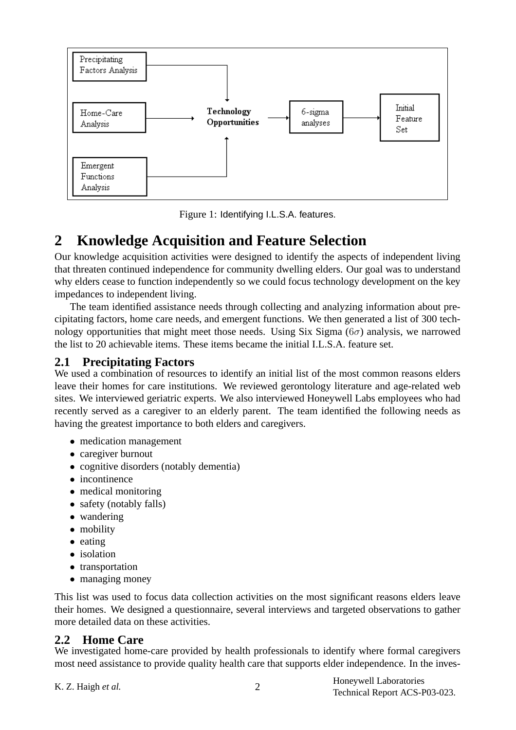

Figure 1: Identifying I.L.S.A. features.

# **2 Knowledge Acquisition and Feature Selection**

Our knowledge acquisition activities were designed to identify the aspects of independent living that threaten continued independence for community dwelling elders. Our goal was to understand why elders cease to function independently so we could focus technology development on the key impedances to independent living.

The team identified assistance needs through collecting and analyzing information about precipitating factors, home care needs, and emergent functions. We then generated a list of 300 technology opportunities that might meet those needs. Using Six Sigma ( $6\sigma$ ) analysis, we narrowed the list to 20 achievable items. These items became the initial I.L.S.A. feature set.

### **2.1 Precipitating Factors**

We used a combination of resources to identify an initial list of the most common reasons elders leave their homes for care institutions. We reviewed gerontology literature and age-related web sites. We interviewed geriatric experts. We also interviewed Honeywell Labs employees who had recently served as a caregiver to an elderly parent. The team identified the following needs as having the greatest importance to both elders and caregivers.

- medication management
- caregiver burnout
- cognitive disorders (notably dementia)
- incontinence
- medical monitoring
- safety (notably falls)
- wandering
- mobility
- eating
- isolation
- transportation
- managing money

This list was used to focus data collection activities on the most significant reasons elders leave their homes. We designed a questionnaire, several interviews and targeted observations to gather more detailed data on these activities.

## **2.2 Home Care**

We investigated home-care provided by health professionals to identify where formal caregivers most need assistance to provide quality health care that supports elder independence. In the inves-

K. Z. Haigh *et al.* 2

Honeywell Laboratories Technical Report ACS-P03-023.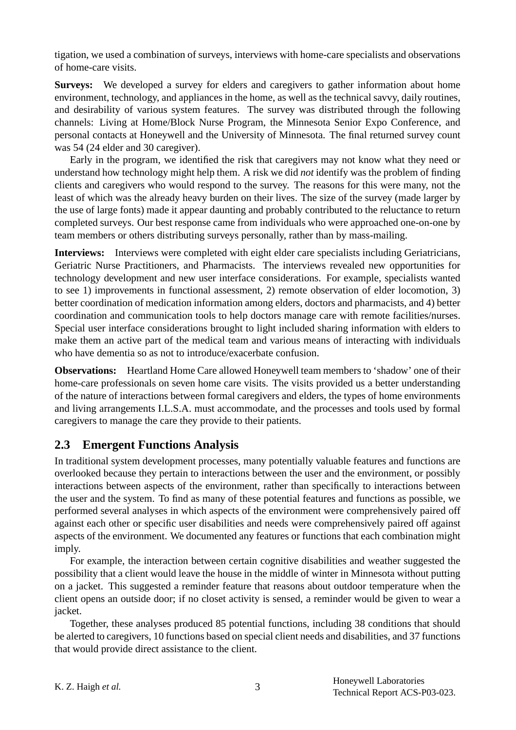tigation, we used a combination of surveys, interviews with home-care specialists and observations of home-care visits.

**Surveys:** We developed a survey for elders and caregivers to gather information about home environment, technology, and appliances in the home, as well as the technical savvy, daily routines, and desirability of various system features. The survey was distributed through the following channels: Living at Home/Block Nurse Program, the Minnesota Senior Expo Conference, and personal contacts at Honeywell and the University of Minnesota. The final returned survey count was 54 (24 elder and 30 caregiver).

Early in the program, we identified the risk that caregivers may not know what they need or understand how technology might help them. A risk we did *not* identify was the problem of finding clients and caregivers who would respond to the survey. The reasons for this were many, not the least of which was the already heavy burden on their lives. The size of the survey (made larger by the use of large fonts) made it appear daunting and probably contributed to the reluctance to return completed surveys. Our best response came from individuals who were approached one-on-one by team members or others distributing surveys personally, rather than by mass-mailing.

**Interviews:** Interviews were completed with eight elder care specialists including Geriatricians, Geriatric Nurse Practitioners, and Pharmacists. The interviews revealed new opportunities for technology development and new user interface considerations. For example, specialists wanted to see 1) improvements in functional assessment, 2) remote observation of elder locomotion, 3) better coordination of medication information among elders, doctors and pharmacists, and 4) better coordination and communication tools to help doctors manage care with remote facilities/nurses. Special user interface considerations brought to light included sharing information with elders to make them an active part of the medical team and various means of interacting with individuals who have dementia so as not to introduce/exacerbate confusion.

**Observations:** Heartland Home Care allowed Honeywell team members to 'shadow' one of their home-care professionals on seven home care visits. The visits provided us a better understanding of the nature of interactions between formal caregivers and elders, the types of home environments and living arrangements I.L.S.A. must accommodate, and the processes and tools used by formal caregivers to manage the care they provide to their patients.

### **2.3 Emergent Functions Analysis**

In traditional system development processes, many potentially valuable features and functions are overlooked because they pertain to interactions between the user and the environment, or possibly interactions between aspects of the environment, rather than specifically to interactions between the user and the system. To find as many of these potential features and functions as possible, we performed several analyses in which aspects of the environment were comprehensively paired off against each other or specific user disabilities and needs were comprehensively paired off against aspects of the environment. We documented any features or functions that each combination might imply.

For example, the interaction between certain cognitive disabilities and weather suggested the possibility that a client would leave the house in the middle of winter in Minnesota without putting on a jacket. This suggested a reminder feature that reasons about outdoor temperature when the client opens an outside door; if no closet activity is sensed, a reminder would be given to wear a jacket.

Together, these analyses produced 85 potential functions, including 38 conditions that should be alerted to caregivers, 10 functions based on special client needs and disabilities, and 37 functions that would provide direct assistance to the client.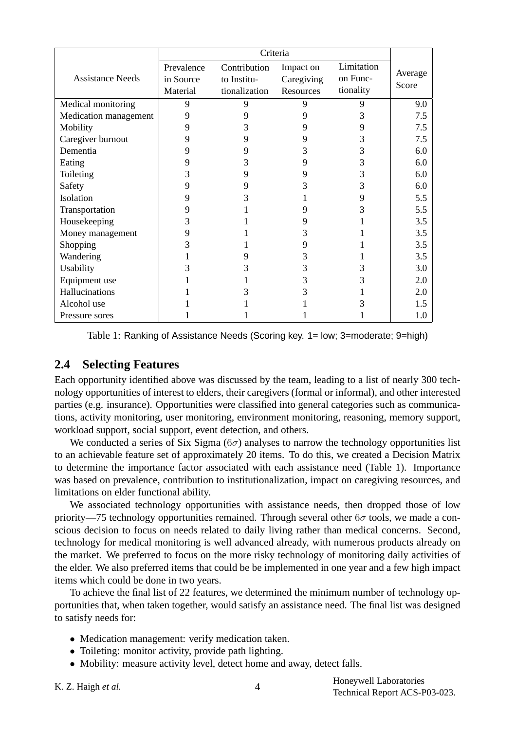|                         | Criteria                            |                                              |                                      |                                     |                  |
|-------------------------|-------------------------------------|----------------------------------------------|--------------------------------------|-------------------------------------|------------------|
| <b>Assistance Needs</b> | Prevalence<br>in Source<br>Material | Contribution<br>to Institu-<br>tionalization | Impact on<br>Caregiving<br>Resources | Limitation<br>on Func-<br>tionality | Average<br>Score |
| Medical monitoring      | 9                                   | 9                                            | 9                                    | 9                                   | 9.0              |
| Medication management   | 9                                   |                                              | 9                                    | 3                                   | 7.5              |
| Mobility                |                                     |                                              | 9                                    | 9                                   | 7.5              |
| Caregiver burnout       | 9                                   |                                              | 9                                    | 3                                   | 7.5              |
| Dementia                | 9                                   |                                              | 3                                    | 3                                   | 6.0              |
| Eating                  | 9                                   |                                              | 9                                    | 3                                   | 6.0              |
| Toileting               |                                     |                                              | 9                                    | 3                                   | 6.0              |
| Safety                  | 9                                   |                                              |                                      | 3                                   | 6.0              |
| Isolation               | 9                                   |                                              |                                      | 9                                   | 5.5              |
| Transportation          | 9                                   |                                              |                                      |                                     | 5.5              |
| Housekeeping            | 3                                   |                                              | 9                                    |                                     | 3.5              |
| Money management        | 9                                   |                                              | 3                                    |                                     | 3.5              |
| Shopping                |                                     |                                              |                                      |                                     | 3.5              |
| Wandering               |                                     |                                              | 3                                    |                                     | 3.5              |
| Usability               |                                     |                                              | 3                                    |                                     | 3.0              |
| Equipment use           |                                     |                                              | 3                                    | 3                                   | 2.0              |
| Hallucinations          |                                     |                                              |                                      |                                     | 2.0              |
| Alcohol use             |                                     |                                              |                                      |                                     | 1.5              |
| Pressure sores          |                                     |                                              |                                      |                                     | 1.0              |

Table 1: Ranking of Assistance Needs (Scoring key. 1= low; 3=moderate; 9=high)

#### **2.4 Selecting Features**

Each opportunity identified above was discussed by the team, leading to a list of nearly 300 technology opportunities of interest to elders, their caregivers (formal or informal), and other interested parties (e.g. insurance). Opportunities were classified into general categories such as communications, activity monitoring, user monitoring, environment monitoring, reasoning, memory support, workload support, social support, event detection, and others.

We conducted a series of Six Sigma ( $6\sigma$ ) analyses to narrow the technology opportunities list to an achievable feature set of approximately 20 items. To do this, we created a Decision Matrix to determine the importance factor associated with each assistance need (Table 1). Importance was based on prevalence, contribution to institutionalization, impact on caregiving resources, and limitations on elder functional ability.

We associated technology opportunities with assistance needs, then dropped those of low priority—75 technology opportunities remained. Through several other  $6\sigma$  tools, we made a conscious decision to focus on needs related to daily living rather than medical concerns. Second, technology for medical monitoring is well advanced already, with numerous products already on the market. We preferred to focus on the more risky technology of monitoring daily activities of the elder. We also preferred items that could be be implemented in one year and a few high impact items which could be done in two years.

To achieve the final list of 22 features, we determined the minimum number of technology opportunities that, when taken together, would satisfy an assistance need. The final list was designed to satisfy needs for:

- Medication management: verify medication taken.
- Toileting: monitor activity, provide path lighting.
- Mobility: measure activity level, detect home and away, detect falls.
- K. Z. Haigh *et al.* 4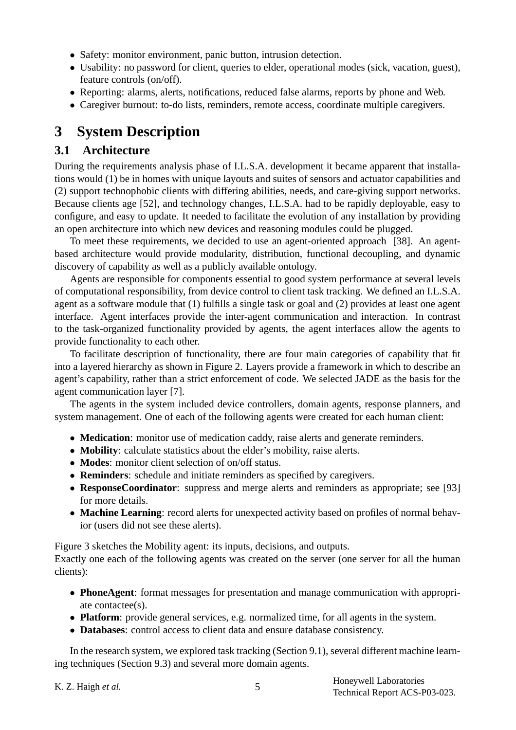- Safety: monitor environment, panic button, intrusion detection.
- Usability: no password for client, queries to elder, operational modes (sick, vacation, guest), feature controls (on/off).
- Reporting: alarms, alerts, notifications, reduced false alarms, reports by phone and Web.
- Caregiver burnout: to-do lists, reminders, remote access, coordinate multiple caregivers.

# **3 System Description**

### **3.1 Architecture**

During the requirements analysis phase of I.L.S.A. development it became apparent that installations would (1) be in homes with unique layouts and suites of sensors and actuator capabilities and (2) support technophobic clients with differing abilities, needs, and care-giving support networks. Because clients age [52], and technology changes, I.L.S.A. had to be rapidly deployable, easy to configure, and easy to update. It needed to facilitate the evolution of any installation by providing an open architecture into which new devices and reasoning modules could be plugged.

To meet these requirements, we decided to use an agent-oriented approach [38]. An agentbased architecture would provide modularity, distribution, functional decoupling, and dynamic discovery of capability as well as a publicly available ontology.

Agents are responsible for components essential to good system performance at several levels of computational responsibility, from device control to client task tracking. We defined an I.L.S.A. agent as a software module that (1) fulfills a single task or goal and (2) provides at least one agent interface. Agent interfaces provide the inter-agent communication and interaction. In contrast to the task-organized functionality provided by agents, the agent interfaces allow the agents to provide functionality to each other.

To facilitate description of functionality, there are four main categories of capability that fit into a layered hierarchy as shown in Figure 2. Layers provide a framework in which to describe an agent's capability, rather than a strict enforcement of code. We selected JADE as the basis for the agent communication layer [7].

The agents in the system included device controllers, domain agents, response planners, and system management. One of each of the following agents were created for each human client:

- **Medication**: monitor use of medication caddy, raise alerts and generate reminders.
- **Mobility**: calculate statistics about the elder's mobility, raise alerts.
- **Modes:** monitor client selection of on/off status.
- **Reminders**: schedule and initiate reminders as specified by caregivers.
- **ResponseCoordinator**: suppress and merge alerts and reminders as appropriate; see [93] for more details.
- **Machine Learning**: record alerts for unexpected activity based on profiles of normal behavior (users did not see these alerts).

Figure 3 sketches the Mobility agent: its inputs, decisions, and outputs.

Exactly one each of the following agents was created on the server (one server for all the human clients):

- **PhoneAgent**: format messages for presentation and manage communication with appropriate contactee(s).
- **Platform**: provide general services, e.g. normalized time, for all agents in the system.
- **Databases**: control access to client data and ensure database consistency.

In the research system, we explored task tracking (Section 9.1), several different machine learning techniques (Section 9.3) and several more domain agents.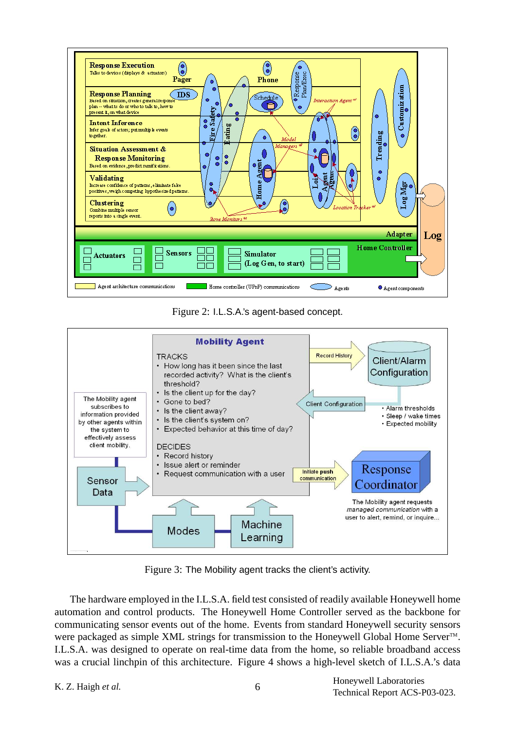

Figure 2: I.L.S.A.'s agent-based concept.



Figure 3: The Mobility agent tracks the client's activity.

The hardware employed in the I.L.S.A. field test consisted of readily available Honeywell home automation and control products. The Honeywell Home Controller served as the backbone for communicating sensor events out of the home. Events from standard Honeywell security sensors were packaged as simple XML strings for transmission to the Honeywell Global Home Server<sup>™</sup>. I.L.S.A. was designed to operate on real-time data from the home, so reliable broadband access was a crucial linchpin of this architecture. Figure 4 shows a high-level sketch of I.L.S.A.'s data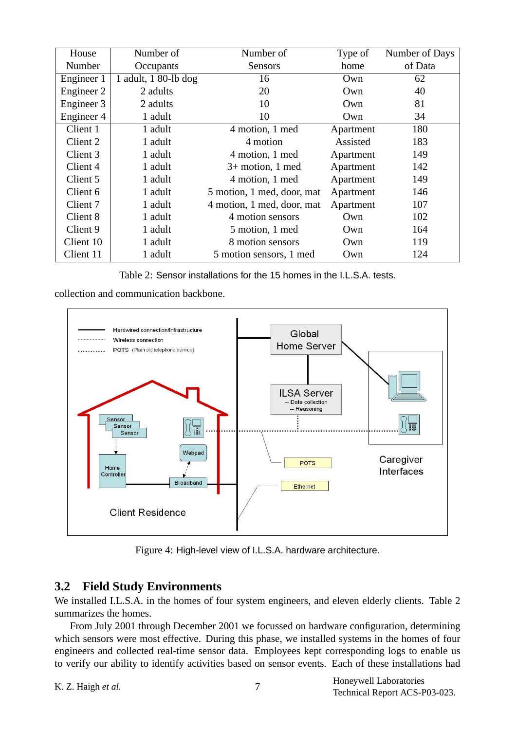| House      | Number of              | Number of                  | Type of   | Number of Days |
|------------|------------------------|----------------------------|-----------|----------------|
| Number     | Occupants              | Sensors                    | home      | of Data        |
| Engineer 1 | 1 adult, $180$ -lb dog | 16                         | Own       | 62             |
| Engineer 2 | 2 adults               | 20                         | Own       | 40             |
| Engineer 3 | 2 adults               | 10                         | Own       | 81             |
| Engineer 4 | 1 adult                | 10                         | Own       | 34             |
| Client 1   | 1 adult                | 4 motion, 1 med            | Apartment | 180            |
| Client 2   | 1 adult                | 4 motion                   | Assisted  | 183            |
| Client 3   | 1 adult                | 4 motion, 1 med            | Apartment | 149            |
| Client 4   | 1 adult                | $3+$ motion, 1 med         | Apartment | 142            |
| Client 5   | 1 adult                | 4 motion, 1 med            | Apartment | 149            |
| Client 6   | 1 adult                | 5 motion, 1 med, door, mat | Apartment | 146            |
| Client 7   | 1 adult                | 4 motion, 1 med, door, mat | Apartment | 107            |
| Client 8   | 1 adult                | 4 motion sensors           | Own       | 102            |
| Client 9   | 1 adult                | 5 motion, 1 med            | Own       | 164            |
| Client 10  | 1 adult                | 8 motion sensors           | Own       | 119            |
| Client 11  | 1 adult                | 5 motion sensors, 1 med    | Own       | 124            |

Table 2: Sensor installations for the 15 homes in the I.L.S.A. tests.

collection and communication backbone.



Figure 4: High-level view of I.L.S.A. hardware architecture.

## **3.2 Field Study Environments**

We installed I.L.S.A. in the homes of four system engineers, and eleven elderly clients. Table 2 summarizes the homes.

From July 2001 through December 2001 we focussed on hardware configuration, determining which sensors were most effective. During this phase, we installed systems in the homes of four engineers and collected real-time sensor data. Employees kept corresponding logs to enable us to verify our ability to identify activities based on sensor events. Each of these installations had

```
K. Z. Haigh et al. 7
```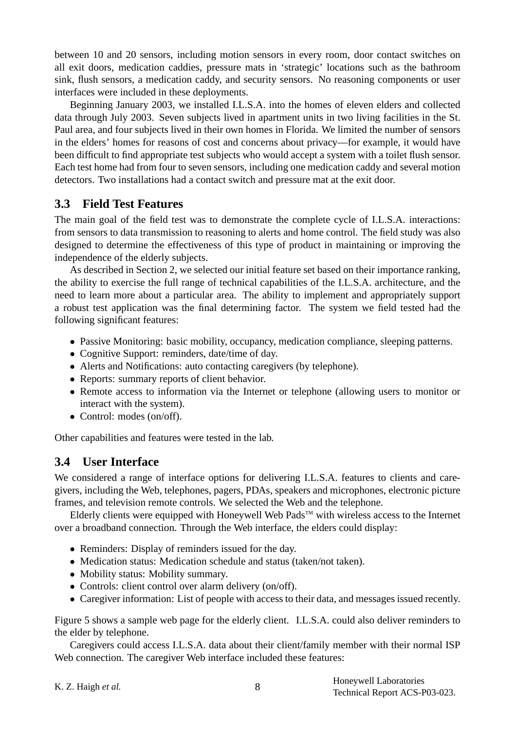between 10 and 20 sensors, including motion sensors in every room, door contact switches on all exit doors, medication caddies, pressure mats in 'strategic' locations such as the bathroom sink, flush sensors, a medication caddy, and security sensors. No reasoning components or user interfaces were included in these deployments.

Beginning January 2003, we installed I.L.S.A. into the homes of eleven elders and collected data through July 2003. Seven subjects lived in apartment units in two living facilities in the St. Paul area, and four subjects lived in their own homes in Florida. We limited the number of sensors in the elders' homes for reasons of cost and concerns about privacy—for example, it would have been difficult to find appropriate test subjects who would accept a system with a toilet flush sensor. Each test home had from four to seven sensors, including one medication caddy and several motion detectors. Two installations had a contact switch and pressure mat at the exit door.

#### **3.3 Field Test Features**

The main goal of the field test was to demonstrate the complete cycle of I.L.S.A. interactions: from sensors to data transmission to reasoning to alerts and home control. The field study was also designed to determine the effectiveness of this type of product in maintaining or improving the independence of the elderly subjects.

As described in Section 2, we selected our initial feature set based on their importance ranking, the ability to exercise the full range of technical capabilities of the I.L.S.A. architecture, and the need to learn more about a particular area. The ability to implement and appropriately support a robust test application was the final determining factor. The system we field tested had the following significant features:

- Passive Monitoring: basic mobility, occupancy, medication compliance, sleeping patterns.
- Cognitive Support: reminders, date/time of day.
- Alerts and Notifications: auto contacting caregivers (by telephone).
- Reports: summary reports of client behavior.
- Remote access to information via the Internet or telephone (allowing users to monitor or interact with the system).
- Control: modes (on/off).

Other capabilities and features were tested in the lab.

### **3.4 User Interface**

We considered a range of interface options for delivering I.L.S.A. features to clients and caregivers, including the Web, telephones, pagers, PDAs, speakers and microphones, electronic picture frames, and television remote controls. We selected the Web and the telephone.

Elderly clients were equipped with Honeywell Web Pads<sup>TM</sup> with wireless access to the Internet over a broadband connection. Through the Web interface, the elders could display:

- Reminders: Display of reminders issued for the day.
- Medication status: Medication schedule and status (taken/not taken).
- Mobility status: Mobility summary.
- Controls: client control over alarm delivery (on/off).
- Caregiver information: List of people with access to their data, and messages issued recently.

Figure 5 shows a sample web page for the elderly client. I.L.S.A. could also deliver reminders to the elder by telephone.

Caregivers could access I.L.S.A. data about their client/family member with their normal ISP Web connection. The caregiver Web interface included these features:

| K. Z. Haigh et al. |  |
|--------------------|--|
|                    |  |

Honeywell Laboratories Technical Report ACS-P03-023.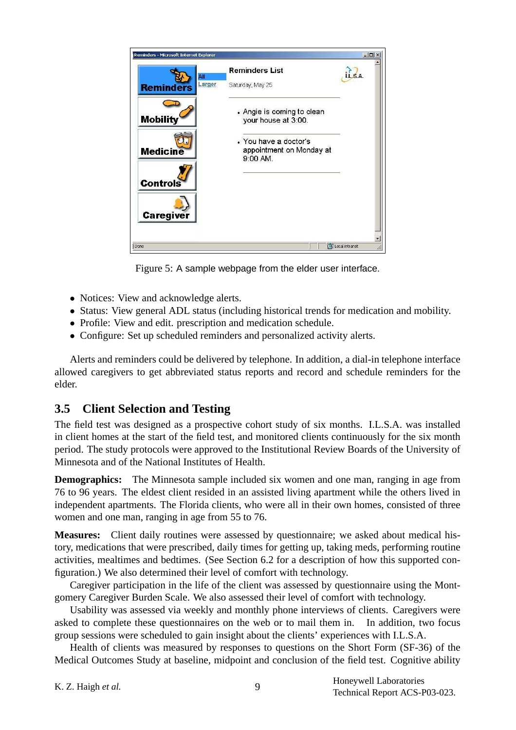

Figure 5: A sample webpage from the elder user interface.

- Notices: View and acknowledge alerts.
- Status: View general ADL status (including historical trends for medication and mobility.
- Profile: View and edit. prescription and medication schedule.
- Configure: Set up scheduled reminders and personalized activity alerts.

Alerts and reminders could be delivered by telephone. In addition, a dial-in telephone interface allowed caregivers to get abbreviated status reports and record and schedule reminders for the elder.

# **3.5 Client Selection and Testing**

The field test was designed as a prospective cohort study of six months. I.L.S.A. was installed in client homes at the start of the field test, and monitored clients continuously for the six month period. The study protocols were approved to the Institutional Review Boards of the University of Minnesota and of the National Institutes of Health.

**Demographics:** The Minnesota sample included six women and one man, ranging in age from 76 to 96 years. The eldest client resided in an assisted living apartment while the others lived in independent apartments. The Florida clients, who were all in their own homes, consisted of three women and one man, ranging in age from 55 to 76.

**Measures:** Client daily routines were assessed by questionnaire; we asked about medical history, medications that were prescribed, daily times for getting up, taking meds, performing routine activities, mealtimes and bedtimes. (See Section 6.2 for a description of how this supported configuration.) We also determined their level of comfort with technology.

Caregiver participation in the life of the client was assessed by questionnaire using the Montgomery Caregiver Burden Scale. We also assessed their level of comfort with technology.

Usability was assessed via weekly and monthly phone interviews of clients. Caregivers were asked to complete these questionnaires on the web or to mail them in. In addition, two focus group sessions were scheduled to gain insight about the clients' experiences with I.L.S.A.

Health of clients was measured by responses to questions on the Short Form (SF-36) of the Medical Outcomes Study at baseline, midpoint and conclusion of the field test. Cognitive ability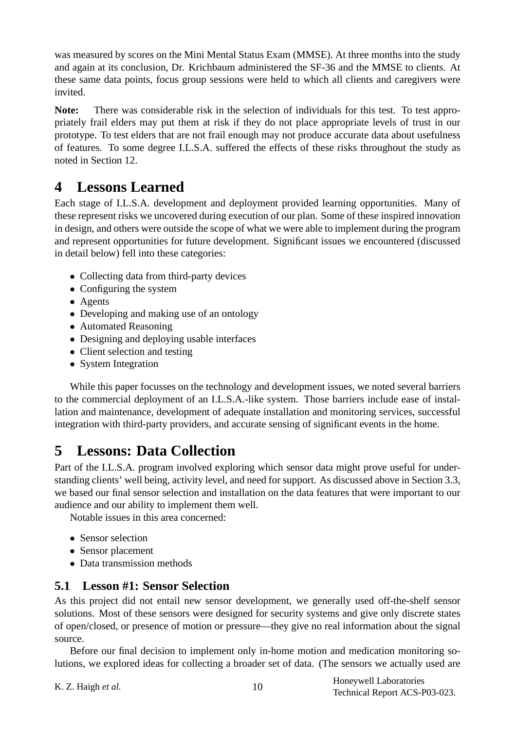was measured by scores on the Mini Mental Status Exam (MMSE). At three months into the study and again at its conclusion, Dr. Krichbaum administered the SF-36 and the MMSE to clients. At these same data points, focus group sessions were held to which all clients and caregivers were invited.

**Note:** There was considerable risk in the selection of individuals for this test. To test appropriately frail elders may put them at risk if they do not place appropriate levels of trust in our prototype. To test elders that are not frail enough may not produce accurate data about usefulness of features. To some degree I.L.S.A. suffered the effects of these risks throughout the study as noted in Section 12.

# **4 Lessons Learned**

Each stage of I.L.S.A. development and deployment provided learning opportunities. Many of these represent risks we uncovered during execution of our plan. Some of these inspired innovation in design, and others were outside the scope of what we were able to implement during the program and represent opportunities for future development. Significant issues we encountered (discussed in detail below) fell into these categories:

- Collecting data from third-party devices
- Configuring the system
- Agents
- Developing and making use of an ontology
- Automated Reasoning
- Designing and deploying usable interfaces
- Client selection and testing
- System Integration

While this paper focusses on the technology and development issues, we noted several barriers to the commercial deployment of an I.L.S.A.-like system. Those barriers include ease of installation and maintenance, development of adequate installation and monitoring services, successful integration with third-party providers, and accurate sensing of significant events in the home.

# **5 Lessons: Data Collection**

Part of the I.L.S.A. program involved exploring which sensor data might prove useful for understanding clients' well being, activity level, and need for support. As discussed above in Section 3.3, we based our final sensor selection and installation on the data features that were important to our audience and our ability to implement them well.

Notable issues in this area concerned:

- Sensor selection
- Sensor placement
- Data transmission methods

# **5.1 Lesson #1: Sensor Selection**

As this project did not entail new sensor development, we generally used off-the-shelf sensor solutions. Most of these sensors were designed for security systems and give only discrete states of open/closed, or presence of motion or pressure—they give no real information about the signal source.

Before our final decision to implement only in-home motion and medication monitoring solutions, we explored ideas for collecting a broader set of data. (The sensors we actually used are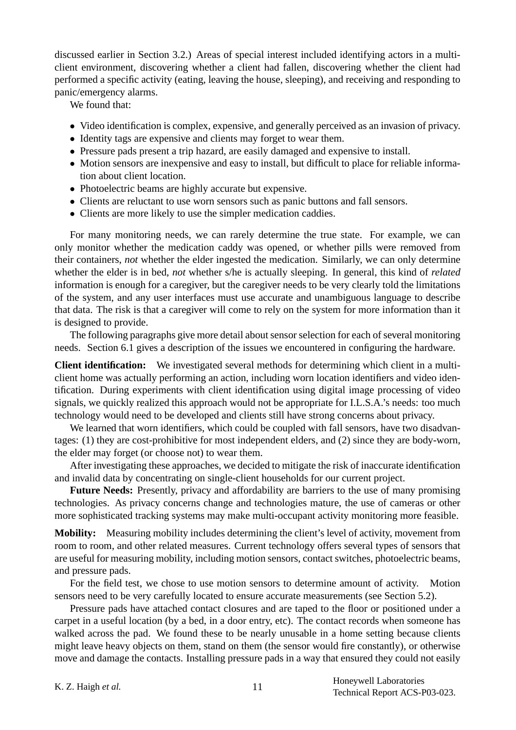discussed earlier in Section 3.2.) Areas of special interest included identifying actors in a multiclient environment, discovering whether a client had fallen, discovering whether the client had performed a specific activity (eating, leaving the house, sleeping), and receiving and responding to panic/emergency alarms.

We found that:

- Video identification is complex, expensive, and generally perceived as an invasion of privacy.
- Identity tags are expensive and clients may forget to wear them.
- Pressure pads present a trip hazard, are easily damaged and expensive to install.
- Motion sensors are inexpensive and easy to install, but difficult to place for reliable information about client location.
- Photoelectric beams are highly accurate but expensive.
- Clients are reluctant to use worn sensors such as panic buttons and fall sensors.
- Clients are more likely to use the simpler medication caddies.

For many monitoring needs, we can rarely determine the true state. For example, we can only monitor whether the medication caddy was opened, or whether pills were removed from their containers, *not* whether the elder ingested the medication. Similarly, we can only determine whether the elder is in bed, *not* whether s/he is actually sleeping. In general, this kind of *related* information is enough for a caregiver, but the caregiver needs to be very clearly told the limitations of the system, and any user interfaces must use accurate and unambiguous language to describe that data. The risk is that a caregiver will come to rely on the system for more information than it is designed to provide.

The following paragraphs give more detail about sensor selection for each of several monitoring needs. Section 6.1 gives a description of the issues we encountered in configuring the hardware.

**Client identification:** We investigated several methods for determining which client in a multiclient home was actually performing an action, including worn location identifiers and video identification. During experiments with client identification using digital image processing of video signals, we quickly realized this approach would not be appropriate for I.L.S.A.'s needs: too much technology would need to be developed and clients still have strong concerns about privacy.

We learned that worn identifiers, which could be coupled with fall sensors, have two disadvantages: (1) they are cost-prohibitive for most independent elders, and (2) since they are body-worn, the elder may forget (or choose not) to wear them.

After investigating these approaches, we decided to mitigate the risk of inaccurate identification and invalid data by concentrating on single-client households for our current project.

**Future Needs:** Presently, privacy and affordability are barriers to the use of many promising technologies. As privacy concerns change and technologies mature, the use of cameras or other more sophisticated tracking systems may make multi-occupant activity monitoring more feasible.

**Mobility:** Measuring mobility includes determining the client's level of activity, movement from room to room, and other related measures. Current technology offers several types of sensors that are useful for measuring mobility, including motion sensors, contact switches, photoelectric beams, and pressure pads.

For the field test, we chose to use motion sensors to determine amount of activity. Motion sensors need to be very carefully located to ensure accurate measurements (see Section 5.2).

Pressure pads have attached contact closures and are taped to the floor or positioned under a carpet in a useful location (by a bed, in a door entry, etc). The contact records when someone has walked across the pad. We found these to be nearly unusable in a home setting because clients might leave heavy objects on them, stand on them (the sensor would fire constantly), or otherwise move and damage the contacts. Installing pressure pads in a way that ensured they could not easily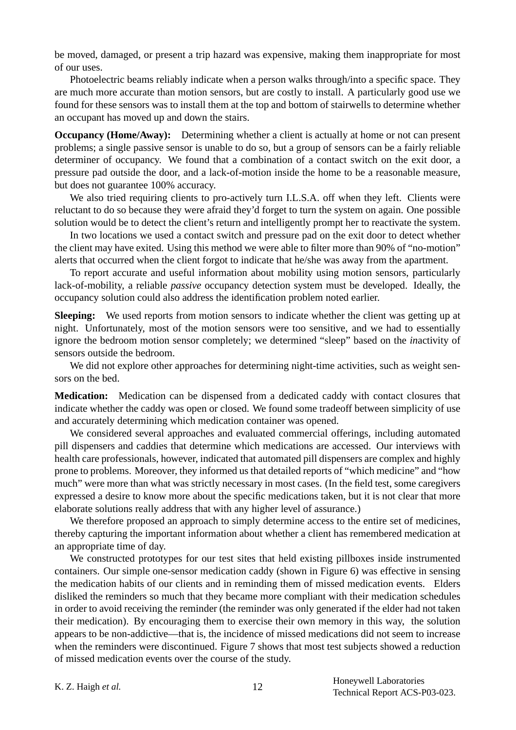be moved, damaged, or present a trip hazard was expensive, making them inappropriate for most of our uses.

Photoelectric beams reliably indicate when a person walks through/into a specific space. They are much more accurate than motion sensors, but are costly to install. A particularly good use we found for these sensors was to install them at the top and bottom of stairwells to determine whether an occupant has moved up and down the stairs.

**Occupancy (Home/Away):** Determining whether a client is actually at home or not can present problems; a single passive sensor is unable to do so, but a group of sensors can be a fairly reliable determiner of occupancy. We found that a combination of a contact switch on the exit door, a pressure pad outside the door, and a lack-of-motion inside the home to be a reasonable measure, but does not guarantee 100% accuracy.

We also tried requiring clients to pro-actively turn I.L.S.A. off when they left. Clients were reluctant to do so because they were afraid they'd forget to turn the system on again. One possible solution would be to detect the client's return and intelligently prompt her to reactivate the system.

In two locations we used a contact switch and pressure pad on the exit door to detect whether the client may have exited. Using this method we were able to filter more than 90% of "no-motion" alerts that occurred when the client forgot to indicate that he/she was away from the apartment.

To report accurate and useful information about mobility using motion sensors, particularly lack-of-mobility, a reliable *passive* occupancy detection system must be developed. Ideally, the occupancy solution could also address the identification problem noted earlier.

**Sleeping:** We used reports from motion sensors to indicate whether the client was getting up at night. Unfortunately, most of the motion sensors were too sensitive, and we had to essentially ignore the bedroom motion sensor completely; we determined "sleep" based on the *in*activity of sensors outside the bedroom.

We did not explore other approaches for determining night-time activities, such as weight sensors on the bed.

**Medication:** Medication can be dispensed from a dedicated caddy with contact closures that indicate whether the caddy was open or closed. We found some tradeoff between simplicity of use and accurately determining which medication container was opened.

We considered several approaches and evaluated commercial offerings, including automated pill dispensers and caddies that determine which medications are accessed. Our interviews with health care professionals, however, indicated that automated pill dispensers are complex and highly prone to problems. Moreover, they informed us that detailed reports of "which medicine" and "how much" were more than what was strictly necessary in most cases. (In the field test, some caregivers expressed a desire to know more about the specific medications taken, but it is not clear that more elaborate solutions really address that with any higher level of assurance.)

We therefore proposed an approach to simply determine access to the entire set of medicines, thereby capturing the important information about whether a client has remembered medication at an appropriate time of day.

We constructed prototypes for our test sites that held existing pillboxes inside instrumented containers. Our simple one-sensor medication caddy (shown in Figure 6) was effective in sensing the medication habits of our clients and in reminding them of missed medication events. Elders disliked the reminders so much that they became more compliant with their medication schedules in order to avoid receiving the reminder (the reminder was only generated if the elder had not taken their medication). By encouraging them to exercise their own memory in this way, the solution appears to be non-addictive—that is, the incidence of missed medications did not seem to increase when the reminders were discontinued. Figure 7 shows that most test subjects showed a reduction of missed medication events over the course of the study.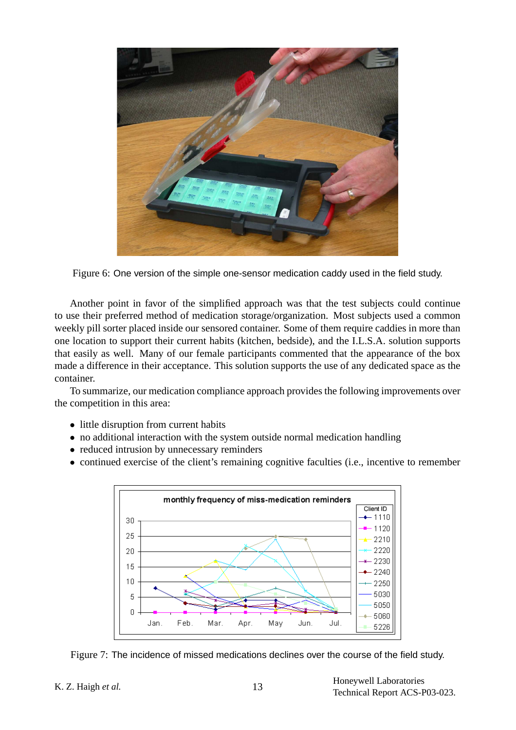

Figure 6: One version of the simple one-sensor medication caddy used in the field study.

Another point in favor of the simplified approach was that the test subjects could continue to use their preferred method of medication storage/organization. Most subjects used a common weekly pill sorter placed inside our sensored container. Some of them require caddies in more than one location to support their current habits (kitchen, bedside), and the I.L.S.A. solution supports that easily as well. Many of our female participants commented that the appearance of the box made a difference in their acceptance. This solution supports the use of any dedicated space as the container.

To summarize, our medication compliance approach provides the following improvements over the competition in this area:

- little disruption from current habits
- no additional interaction with the system outside normal medication handling
- reduced intrusion by unnecessary reminders
- continued exercise of the client's remaining cognitive faculties (i.e., incentive to remember



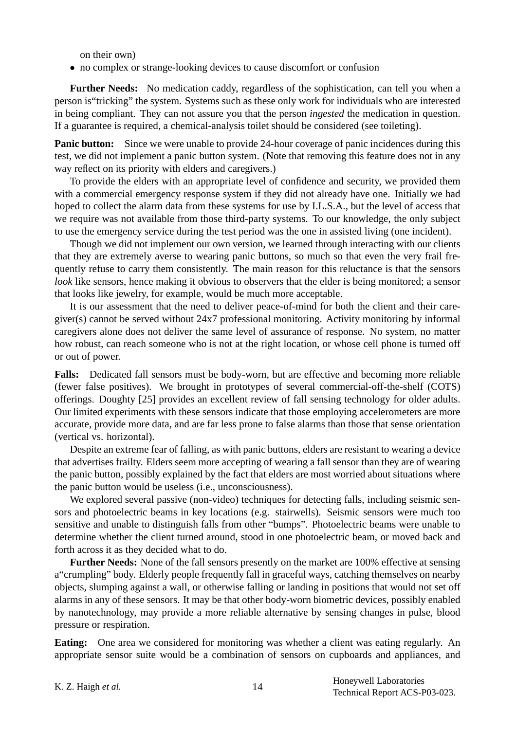on their own)

• no complex or strange-looking devices to cause discomfort or confusion

**Further Needs:** No medication caddy, regardless of the sophistication, can tell you when a person is"tricking" the system. Systems such as these only work for individuals who are interested in being compliant. They can not assure you that the person *ingested* the medication in question. If a guarantee is required, a chemical-analysis toilet should be considered (see toileting).

**Panic button:** Since we were unable to provide 24-hour coverage of panic incidences during this test, we did not implement a panic button system. (Note that removing this feature does not in any way reflect on its priority with elders and caregivers.)

To provide the elders with an appropriate level of confidence and security, we provided them with a commercial emergency response system if they did not already have one. Initially we had hoped to collect the alarm data from these systems for use by I.L.S.A., but the level of access that we require was not available from those third-party systems. To our knowledge, the only subject to use the emergency service during the test period was the one in assisted living (one incident).

Though we did not implement our own version, we learned through interacting with our clients that they are extremely averse to wearing panic buttons, so much so that even the very frail frequently refuse to carry them consistently. The main reason for this reluctance is that the sensors *look* like sensors, hence making it obvious to observers that the elder is being monitored; a sensor that looks like jewelry, for example, would be much more acceptable.

It is our assessment that the need to deliver peace-of-mind for both the client and their caregiver(s) cannot be served without 24x7 professional monitoring. Activity monitoring by informal caregivers alone does not deliver the same level of assurance of response. No system, no matter how robust, can reach someone who is not at the right location, or whose cell phone is turned off or out of power.

**Falls:** Dedicated fall sensors must be body-worn, but are effective and becoming more reliable (fewer false positives). We brought in prototypes of several commercial-off-the-shelf (COTS) offerings. Doughty [25] provides an excellent review of fall sensing technology for older adults. Our limited experiments with these sensors indicate that those employing accelerometers are more accurate, provide more data, and are far less prone to false alarms than those that sense orientation (vertical vs. horizontal).

Despite an extreme fear of falling, as with panic buttons, elders are resistant to wearing a device that advertises frailty. Elders seem more accepting of wearing a fall sensor than they are of wearing the panic button, possibly explained by the fact that elders are most worried about situations where the panic button would be useless (i.e., unconsciousness).

We explored several passive (non-video) techniques for detecting falls, including seismic sensors and photoelectric beams in key locations (e.g. stairwells). Seismic sensors were much too sensitive and unable to distinguish falls from other "bumps". Photoelectric beams were unable to determine whether the client turned around, stood in one photoelectric beam, or moved back and forth across it as they decided what to do.

**Further Needs:** None of the fall sensors presently on the market are 100% effective at sensing a"crumpling" body. Elderly people frequently fall in graceful ways, catching themselves on nearby objects, slumping against a wall, or otherwise falling or landing in positions that would not set off alarms in any of these sensors. It may be that other body-worn biometric devices, possibly enabled by nanotechnology, may provide a more reliable alternative by sensing changes in pulse, blood pressure or respiration.

**Eating:** One area we considered for monitoring was whether a client was eating regularly. An appropriate sensor suite would be a combination of sensors on cupboards and appliances, and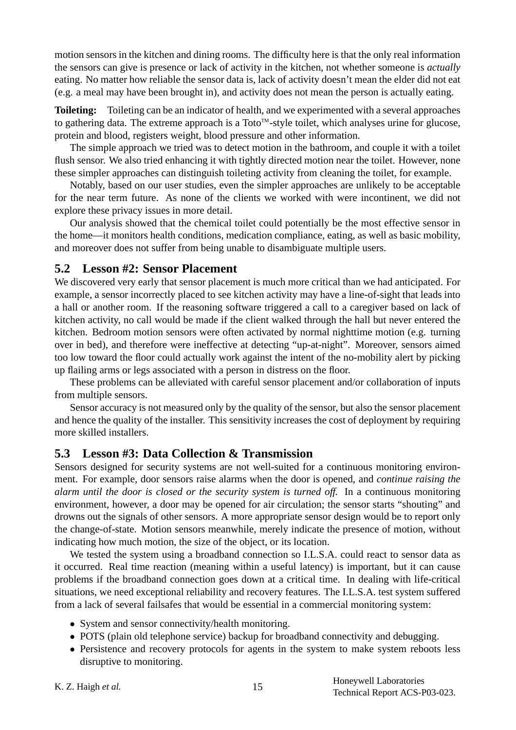motion sensors in the kitchen and dining rooms. The difficulty here is that the only real information the sensors can give is presence or lack of activity in the kitchen, not whether someone is *actually* eating. No matter how reliable the sensor data is, lack of activity doesn't mean the elder did not eat (e.g. a meal may have been brought in), and activity does not mean the person is actually eating.

**Toileting:** Toileting can be an indicator of health, and we experimented with a several approaches to gathering data. The extreme approach is a Toto<sup>TM</sup>-style toilet, which analyses urine for glucose, protein and blood, registers weight, blood pressure and other information.

The simple approach we tried was to detect motion in the bathroom, and couple it with a toilet flush sensor. We also tried enhancing it with tightly directed motion near the toilet. However, none these simpler approaches can distinguish toileting activity from cleaning the toilet, for example.

Notably, based on our user studies, even the simpler approaches are unlikely to be acceptable for the near term future. As none of the clients we worked with were incontinent, we did not explore these privacy issues in more detail.

Our analysis showed that the chemical toilet could potentially be the most effective sensor in the home—it monitors health conditions, medication compliance, eating, as well as basic mobility, and moreover does not suffer from being unable to disambiguate multiple users.

#### **5.2 Lesson #2: Sensor Placement**

We discovered very early that sensor placement is much more critical than we had anticipated. For example, a sensor incorrectly placed to see kitchen activity may have a line-of-sight that leads into a hall or another room. If the reasoning software triggered a call to a caregiver based on lack of kitchen activity, no call would be made if the client walked through the hall but never entered the kitchen. Bedroom motion sensors were often activated by normal nighttime motion (e.g. turning over in bed), and therefore were ineffective at detecting "up-at-night". Moreover, sensors aimed too low toward the floor could actually work against the intent of the no-mobility alert by picking up flailing arms or legs associated with a person in distress on the floor.

These problems can be alleviated with careful sensor placement and/or collaboration of inputs from multiple sensors.

Sensor accuracy is not measured only by the quality of the sensor, but also the sensor placement and hence the quality of the installer. This sensitivity increases the cost of deployment by requiring more skilled installers.

#### **5.3 Lesson #3: Data Collection & Transmission**

Sensors designed for security systems are not well-suited for a continuous monitoring environment. For example, door sensors raise alarms when the door is opened, and *continue raising the alarm until the door is closed or the security system is turned off.* In a continuous monitoring environment, however, a door may be opened for air circulation; the sensor starts "shouting" and drowns out the signals of other sensors. A more appropriate sensor design would be to report only the change-of-state. Motion sensors meanwhile, merely indicate the presence of motion, without indicating how much motion, the size of the object, or its location.

We tested the system using a broadband connection so I.L.S.A. could react to sensor data as it occurred. Real time reaction (meaning within a useful latency) is important, but it can cause problems if the broadband connection goes down at a critical time. In dealing with life-critical situations, we need exceptional reliability and recovery features. The I.L.S.A. test system suffered from a lack of several failsafes that would be essential in a commercial monitoring system:

- System and sensor connectivity/health monitoring.
- POTS (plain old telephone service) backup for broadband connectivity and debugging.
- Persistence and recovery protocols for agents in the system to make system reboots less disruptive to monitoring.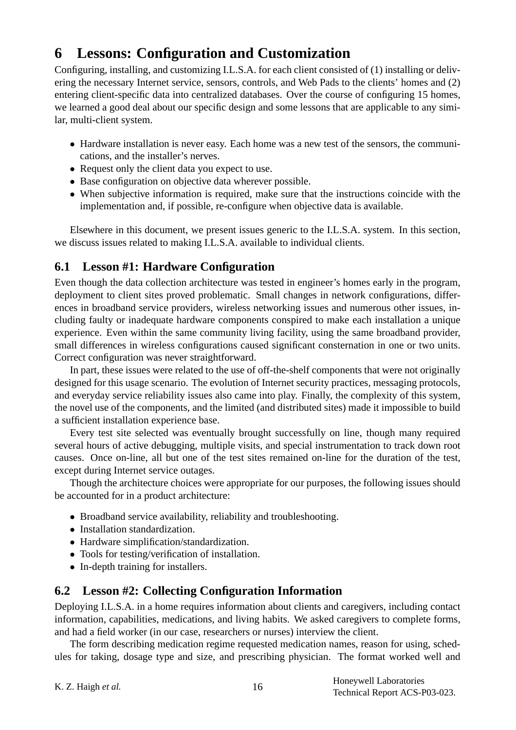# **6 Lessons: Configuration and Customization**

Configuring, installing, and customizing I.L.S.A. for each client consisted of (1) installing or delivering the necessary Internet service, sensors, controls, and Web Pads to the clients' homes and (2) entering client-specific data into centralized databases. Over the course of configuring 15 homes, we learned a good deal about our specific design and some lessons that are applicable to any similar, multi-client system.

- Hardware installation is never easy. Each home was a new test of the sensors, the communications, and the installer's nerves.
- Request only the client data you expect to use.
- Base configuration on objective data wherever possible.
- When subjective information is required, make sure that the instructions coincide with the implementation and, if possible, re-configure when objective data is available.

Elsewhere in this document, we present issues generic to the I.L.S.A. system. In this section, we discuss issues related to making I.L.S.A. available to individual clients.

## **6.1 Lesson #1: Hardware Configuration**

Even though the data collection architecture was tested in engineer's homes early in the program, deployment to client sites proved problematic. Small changes in network configurations, differences in broadband service providers, wireless networking issues and numerous other issues, including faulty or inadequate hardware components conspired to make each installation a unique experience. Even within the same community living facility, using the same broadband provider, small differences in wireless configurations caused significant consternation in one or two units. Correct configuration was never straightforward.

In part, these issues were related to the use of off-the-shelf components that were not originally designed for this usage scenario. The evolution of Internet security practices, messaging protocols, and everyday service reliability issues also came into play. Finally, the complexity of this system, the novel use of the components, and the limited (and distributed sites) made it impossible to build a sufficient installation experience base.

Every test site selected was eventually brought successfully on line, though many required several hours of active debugging, multiple visits, and special instrumentation to track down root causes. Once on-line, all but one of the test sites remained on-line for the duration of the test, except during Internet service outages.

Though the architecture choices were appropriate for our purposes, the following issues should be accounted for in a product architecture:

- Broadband service availability, reliability and troubleshooting.
- Installation standardization.
- Hardware simplification/standardization.
- Tools for testing/verification of installation.
- In-depth training for installers.

## **6.2 Lesson #2: Collecting Configuration Information**

Deploying I.L.S.A. in a home requires information about clients and caregivers, including contact information, capabilities, medications, and living habits. We asked caregivers to complete forms, and had a field worker (in our case, researchers or nurses) interview the client.

The form describing medication regime requested medication names, reason for using, schedules for taking, dosage type and size, and prescribing physician. The format worked well and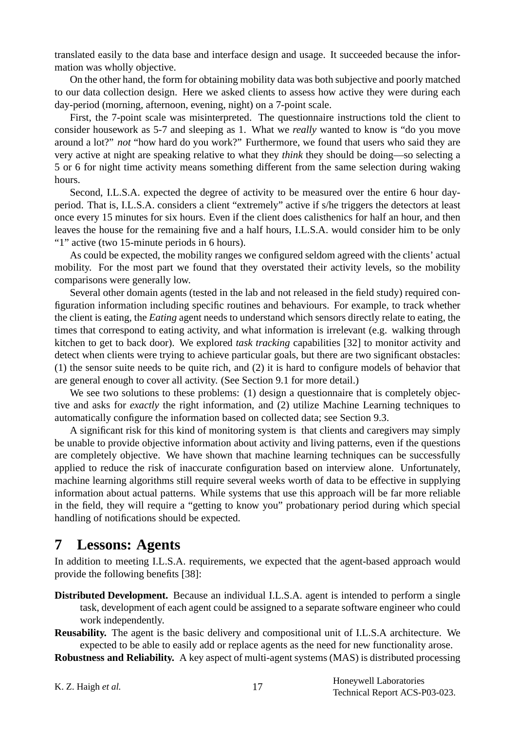translated easily to the data base and interface design and usage. It succeeded because the information was wholly objective.

On the other hand, the form for obtaining mobility data was both subjective and poorly matched to our data collection design. Here we asked clients to assess how active they were during each day-period (morning, afternoon, evening, night) on a 7-point scale.

First, the 7-point scale was misinterpreted. The questionnaire instructions told the client to consider housework as 5-7 and sleeping as 1. What we *really* wanted to know is "do you move around a lot?" *not* "how hard do you work?" Furthermore, we found that users who said they are very active at night are speaking relative to what they *think* they should be doing—so selecting a 5 or 6 for night time activity means something different from the same selection during waking hours.

Second, I.L.S.A. expected the degree of activity to be measured over the entire 6 hour dayperiod. That is, I.L.S.A. considers a client "extremely" active if s/he triggers the detectors at least once every 15 minutes for six hours. Even if the client does calisthenics for half an hour, and then leaves the house for the remaining five and a half hours, I.L.S.A. would consider him to be only "1" active (two 15-minute periods in 6 hours).

As could be expected, the mobility ranges we configured seldom agreed with the clients' actual mobility. For the most part we found that they overstated their activity levels, so the mobility comparisons were generally low.

Several other domain agents (tested in the lab and not released in the field study) required configuration information including specific routines and behaviours. For example, to track whether the client is eating, the *Eating* agent needs to understand which sensors directly relate to eating, the times that correspond to eating activity, and what information is irrelevant (e.g. walking through kitchen to get to back door). We explored *task tracking* capabilities [32] to monitor activity and detect when clients were trying to achieve particular goals, but there are two significant obstacles: (1) the sensor suite needs to be quite rich, and (2) it is hard to configure models of behavior that are general enough to cover all activity. (See Section 9.1 for more detail.)

We see two solutions to these problems: (1) design a questionnaire that is completely objective and asks for *exactly* the right information, and (2) utilize Machine Learning techniques to automatically configure the information based on collected data; see Section 9.3.

A significant risk for this kind of monitoring system is that clients and caregivers may simply be unable to provide objective information about activity and living patterns, even if the questions are completely objective. We have shown that machine learning techniques can be successfully applied to reduce the risk of inaccurate configuration based on interview alone. Unfortunately, machine learning algorithms still require several weeks worth of data to be effective in supplying information about actual patterns. While systems that use this approach will be far more reliable in the field, they will require a "getting to know you" probationary period during which special handling of notifications should be expected.

## **7 Lessons: Agents**

In addition to meeting I.L.S.A. requirements, we expected that the agent-based approach would provide the following benefits [38]:

**Distributed Development.** Because an individual I.L.S.A. agent is intended to perform a single task, development of each agent could be assigned to a separate software engineer who could work independently.

**Reusability.** The agent is the basic delivery and compositional unit of I.L.S.A architecture. We expected to be able to easily add or replace agents as the need for new functionality arose.

**Robustness and Reliability.** A key aspect of multi-agent systems (MAS) is distributed processing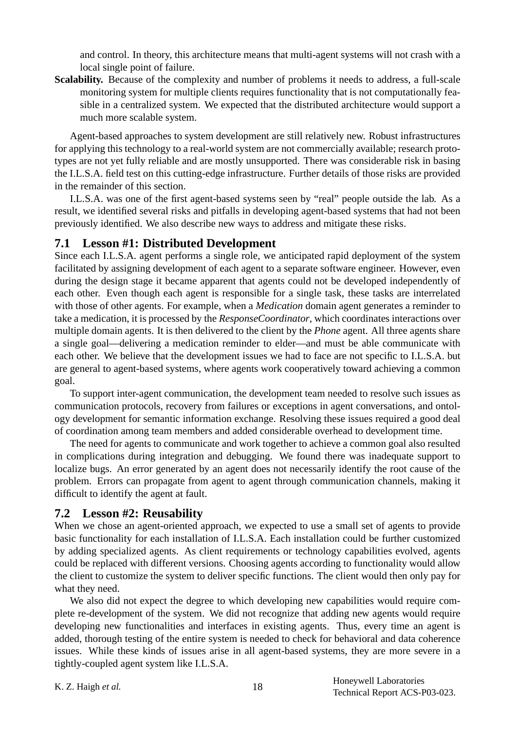and control. In theory, this architecture means that multi-agent systems will not crash with a local single point of failure.

Scalability. Because of the complexity and number of problems it needs to address, a full-scale monitoring system for multiple clients requires functionality that is not computationally feasible in a centralized system. We expected that the distributed architecture would support a much more scalable system.

Agent-based approaches to system development are still relatively new. Robust infrastructures for applying this technology to a real-world system are not commercially available; research prototypes are not yet fully reliable and are mostly unsupported. There was considerable risk in basing the I.L.S.A. field test on this cutting-edge infrastructure. Further details of those risks are provided in the remainder of this section.

I.L.S.A. was one of the first agent-based systems seen by "real" people outside the lab. As a result, we identified several risks and pitfalls in developing agent-based systems that had not been previously identified. We also describe new ways to address and mitigate these risks.

#### **7.1 Lesson #1: Distributed Development**

Since each I.L.S.A. agent performs a single role, we anticipated rapid deployment of the system facilitated by assigning development of each agent to a separate software engineer. However, even during the design stage it became apparent that agents could not be developed independently of each other. Even though each agent is responsible for a single task, these tasks are interrelated with those of other agents. For example, when a *Medication* domain agent generates a reminder to take a medication, it is processed by the *ResponseCoordinator*, which coordinates interactions over multiple domain agents. It is then delivered to the client by the *Phone* agent. All three agents share a single goal—delivering a medication reminder to elder—and must be able communicate with each other. We believe that the development issues we had to face are not specific to I.L.S.A. but are general to agent-based systems, where agents work cooperatively toward achieving a common goal.

To support inter-agent communication, the development team needed to resolve such issues as communication protocols, recovery from failures or exceptions in agent conversations, and ontology development for semantic information exchange. Resolving these issues required a good deal of coordination among team members and added considerable overhead to development time.

The need for agents to communicate and work together to achieve a common goal also resulted in complications during integration and debugging. We found there was inadequate support to localize bugs. An error generated by an agent does not necessarily identify the root cause of the problem. Errors can propagate from agent to agent through communication channels, making it difficult to identify the agent at fault.

#### **7.2 Lesson #2: Reusability**

When we chose an agent-oriented approach, we expected to use a small set of agents to provide basic functionality for each installation of I.L.S.A. Each installation could be further customized by adding specialized agents. As client requirements or technology capabilities evolved, agents could be replaced with different versions. Choosing agents according to functionality would allow the client to customize the system to deliver specific functions. The client would then only pay for what they need.

We also did not expect the degree to which developing new capabilities would require complete re-development of the system. We did not recognize that adding new agents would require developing new functionalities and interfaces in existing agents. Thus, every time an agent is added, thorough testing of the entire system is needed to check for behavioral and data coherence issues. While these kinds of issues arise in all agent-based systems, they are more severe in a tightly-coupled agent system like I.L.S.A.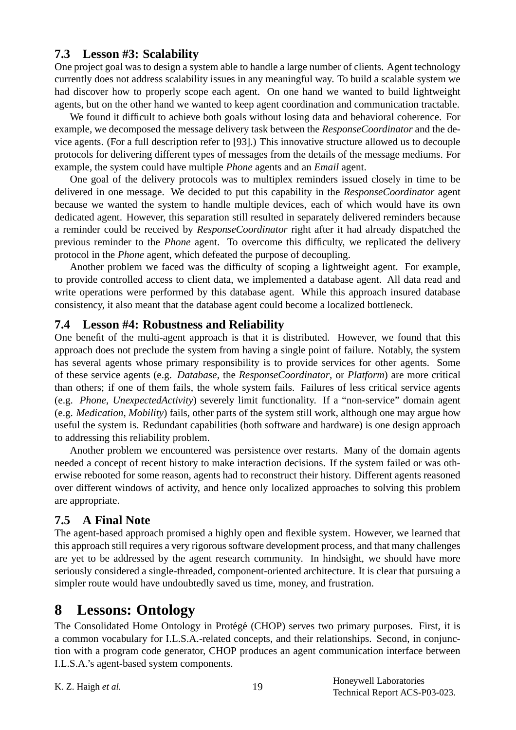### **7.3 Lesson #3: Scalability**

One project goal was to design a system able to handle a large number of clients. Agent technology currently does not address scalability issues in any meaningful way. To build a scalable system we had discover how to properly scope each agent. On one hand we wanted to build lightweight agents, but on the other hand we wanted to keep agent coordination and communication tractable.

We found it difficult to achieve both goals without losing data and behavioral coherence. For example, we decomposed the message delivery task between the *ResponseCoordinator* and the device agents. (For a full description refer to [93].) This innovative structure allowed us to decouple protocols for delivering different types of messages from the details of the message mediums. For example, the system could have multiple *Phone* agents and an *Email* agent.

One goal of the delivery protocols was to multiplex reminders issued closely in time to be delivered in one message. We decided to put this capability in the *ResponseCoordinator* agent because we wanted the system to handle multiple devices, each of which would have its own dedicated agent. However, this separation still resulted in separately delivered reminders because a reminder could be received by *ResponseCoordinator* right after it had already dispatched the previous reminder to the *Phone* agent. To overcome this difficulty, we replicated the delivery protocol in the *Phone* agent, which defeated the purpose of decoupling.

Another problem we faced was the difficulty of scoping a lightweight agent. For example, to provide controlled access to client data, we implemented a database agent. All data read and write operations were performed by this database agent. While this approach insured database consistency, it also meant that the database agent could become a localized bottleneck.

### **7.4 Lesson #4: Robustness and Reliability**

One benefit of the multi-agent approach is that it is distributed. However, we found that this approach does not preclude the system from having a single point of failure. Notably, the system has several agents whose primary responsibility is to provide services for other agents. Some of these service agents (e.g. *Database*, the *ResponseCoordinator*, or *Platform*) are more critical than others; if one of them fails, the whole system fails. Failures of less critical service agents (e.g. *Phone*, *UnexpectedActivity*) severely limit functionality. If a "non-service" domain agent (e.g. *Medication*, *Mobility*) fails, other parts of the system still work, although one may argue how useful the system is. Redundant capabilities (both software and hardware) is one design approach to addressing this reliability problem.

Another problem we encountered was persistence over restarts. Many of the domain agents needed a concept of recent history to make interaction decisions. If the system failed or was otherwise rebooted for some reason, agents had to reconstruct their history. Different agents reasoned over different windows of activity, and hence only localized approaches to solving this problem are appropriate.

### **7.5 A Final Note**

The agent-based approach promised a highly open and flexible system. However, we learned that this approach still requires a very rigorous software development process, and that many challenges are yet to be addressed by the agent research community. In hindsight, we should have more seriously considered a single-threaded, component-oriented architecture. It is clear that pursuing a simpler route would have undoubtedly saved us time, money, and frustration.

# **8 Lessons: Ontology**

The Consolidated Home Ontology in Protégé (CHOP) serves two primary purposes. First, it is a common vocabulary for I.L.S.A.-related concepts, and their relationships. Second, in conjunction with a program code generator, CHOP produces an agent communication interface between I.L.S.A.'s agent-based system components.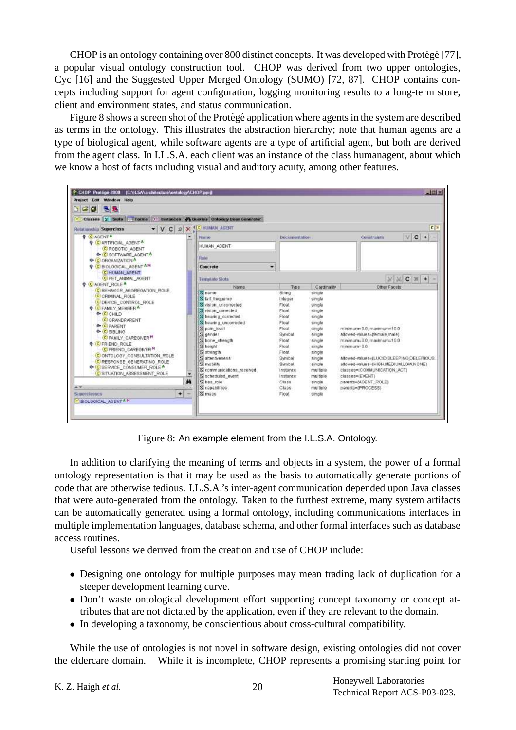CHOP is an ontology containing over 800 distinct concepts. It was developed with Protégé [77], a popular visual ontology construction tool. CHOP was derived from two upper ontologies, Cyc [16] and the Suggested Upper Merged Ontology (SUMO) [72, 87]. CHOP contains concepts including support for agent configuration, logging monitoring results to a long-term store, client and environment states, and status communication.

Figure 8 shows a screen shot of the Protégé application where agents in the system are described as terms in the ontology. This illustrates the abstraction hierarchy; note that human agents are a type of biological agent, while software agents are a type of artificial agent, but both are derived from the agent class. In I.L.S.A. each client was an instance of the class humanagent, about which we know a host of facts including visual and auditory acuity, among other features.



Figure 8: An example element from the I.L.S.A. Ontology.

In addition to clarifying the meaning of terms and objects in a system, the power of a formal ontology representation is that it may be used as the basis to automatically generate portions of code that are otherwise tedious. I.L.S.A.'s inter-agent communication depended upon Java classes that were auto-generated from the ontology. Taken to the furthest extreme, many system artifacts can be automatically generated using a formal ontology, including communications interfaces in multiple implementation languages, database schema, and other formal interfaces such as database access routines.

Useful lessons we derived from the creation and use of CHOP include:

- Designing one ontology for multiple purposes may mean trading lack of duplication for a steeper development learning curve.
- Don't waste ontological development effort supporting concept taxonomy or concept attributes that are not dictated by the application, even if they are relevant to the domain.
- In developing a taxonomy, be conscientious about cross-cultural compatibility.

While the use of ontologies is not novel in software design, existing ontologies did not cover the eldercare domain. While it is incomplete, CHOP represents a promising starting point for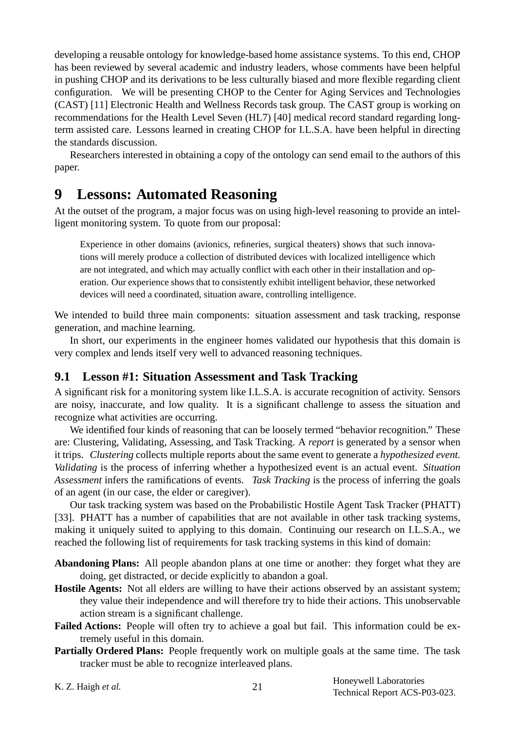developing a reusable ontology for knowledge-based home assistance systems. To this end, CHOP has been reviewed by several academic and industry leaders, whose comments have been helpful in pushing CHOP and its derivations to be less culturally biased and more flexible regarding client configuration. We will be presenting CHOP to the Center for Aging Services and Technologies (CAST) [11] Electronic Health and Wellness Records task group. The CAST group is working on recommendations for the Health Level Seven (HL7) [40] medical record standard regarding longterm assisted care. Lessons learned in creating CHOP for I.L.S.A. have been helpful in directing the standards discussion.

Researchers interested in obtaining a copy of the ontology can send email to the authors of this paper.

# **9 Lessons: Automated Reasoning**

At the outset of the program, a major focus was on using high-level reasoning to provide an intelligent monitoring system. To quote from our proposal:

Experience in other domains (avionics, refineries, surgical theaters) shows that such innovations will merely produce a collection of distributed devices with localized intelligence which are not integrated, and which may actually conflict with each other in their installation and operation. Our experience shows that to consistently exhibit intelligent behavior, these networked devices will need a coordinated, situation aware, controlling intelligence.

We intended to build three main components: situation assessment and task tracking, response generation, and machine learning.

In short, our experiments in the engineer homes validated our hypothesis that this domain is very complex and lends itself very well to advanced reasoning techniques.

### **9.1 Lesson #1: Situation Assessment and Task Tracking**

A significant risk for a monitoring system like I.L.S.A. is accurate recognition of activity. Sensors are noisy, inaccurate, and low quality. It is a significant challenge to assess the situation and recognize what activities are occurring.

We identified four kinds of reasoning that can be loosely termed "behavior recognition." These are: Clustering, Validating, Assessing, and Task Tracking. A *report* is generated by a sensor when it trips. *Clustering* collects multiple reports about the same event to generate a *hypothesized event. Validating* is the process of inferring whether a hypothesized event is an actual event. *Situation Assessment* infers the ramifications of events. *Task Tracking* is the process of inferring the goals of an agent (in our case, the elder or caregiver).

Our task tracking system was based on the Probabilistic Hostile Agent Task Tracker (PHATT) [33]. PHATT has a number of capabilities that are not available in other task tracking systems, making it uniquely suited to applying to this domain. Continuing our research on I.L.S.A., we reached the following list of requirements for task tracking systems in this kind of domain:

- **Abandoning Plans:** All people abandon plans at one time or another: they forget what they are doing, get distracted, or decide explicitly to abandon a goal.
- **Hostile Agents:** Not all elders are willing to have their actions observed by an assistant system; they value their independence and will therefore try to hide their actions. This unobservable action stream is a significant challenge.
- **Failed Actions:** People will often try to achieve a goal but fail. This information could be extremely useful in this domain.
- **Partially Ordered Plans:** People frequently work on multiple goals at the same time. The task tracker must be able to recognize interleaved plans.

K. Z. Haigh *et al.* 21 Honeywell Laboratories **Exercise** 21 Honeywell Laboratories Technical Report ACS-P03-023.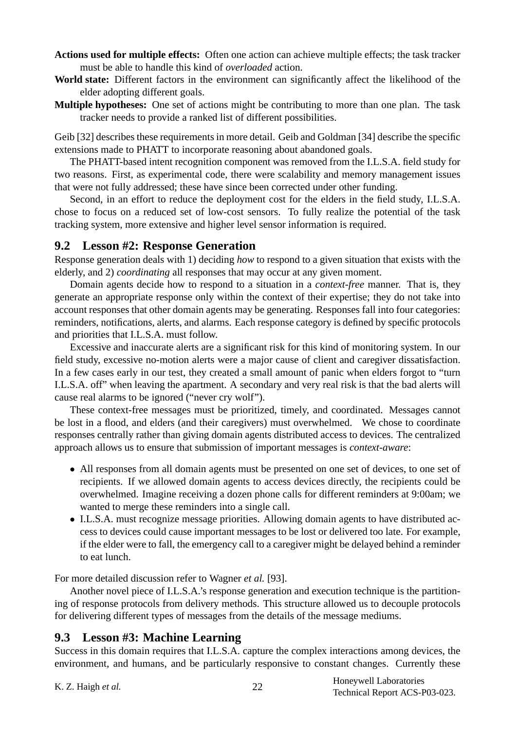- **Actions used for multiple effects:** Often one action can achieve multiple effects; the task tracker must be able to handle this kind of *overloaded* action.
- **World state:** Different factors in the environment can significantly affect the likelihood of the elder adopting different goals.
- **Multiple hypotheses:** One set of actions might be contributing to more than one plan. The task tracker needs to provide a ranked list of different possibilities.

Geib [32] describes these requirements in more detail. Geib and Goldman [34] describe the specific extensions made to PHATT to incorporate reasoning about abandoned goals.

The PHATT-based intent recognition component was removed from the I.L.S.A. field study for two reasons. First, as experimental code, there were scalability and memory management issues that were not fully addressed; these have since been corrected under other funding.

Second, in an effort to reduce the deployment cost for the elders in the field study, I.L.S.A. chose to focus on a reduced set of low-cost sensors. To fully realize the potential of the task tracking system, more extensive and higher level sensor information is required.

#### **9.2 Lesson #2: Response Generation**

Response generation deals with 1) deciding *how* to respond to a given situation that exists with the elderly, and 2) *coordinating* all responses that may occur at any given moment.

Domain agents decide how to respond to a situation in a *context-free* manner. That is, they generate an appropriate response only within the context of their expertise; they do not take into account responses that other domain agents may be generating. Responses fall into four categories: reminders, notifications, alerts, and alarms. Each response category is defined by specific protocols and priorities that I.L.S.A. must follow.

Excessive and inaccurate alerts are a significant risk for this kind of monitoring system. In our field study, excessive no-motion alerts were a major cause of client and caregiver dissatisfaction. In a few cases early in our test, they created a small amount of panic when elders forgot to "turn I.L.S.A. off" when leaving the apartment. A secondary and very real risk is that the bad alerts will cause real alarms to be ignored ("never cry wolf").

These context-free messages must be prioritized, timely, and coordinated. Messages cannot be lost in a flood, and elders (and their caregivers) must overwhelmed. We chose to coordinate responses centrally rather than giving domain agents distributed access to devices. The centralized approach allows us to ensure that submission of important messages is *context-aware*:

- All responses from all domain agents must be presented on one set of devices, to one set of recipients. If we allowed domain agents to access devices directly, the recipients could be overwhelmed. Imagine receiving a dozen phone calls for different reminders at 9:00am; we wanted to merge these reminders into a single call.
- I.L.S.A. must recognize message priorities. Allowing domain agents to have distributed access to devices could cause important messages to be lost or delivered too late. For example, if the elder were to fall, the emergency call to a caregiver might be delayed behind a reminder to eat lunch.

For more detailed discussion refer to Wagner *et al.* [93].

Another novel piece of I.L.S.A.'s response generation and execution technique is the partitioning of response protocols from delivery methods. This structure allowed us to decouple protocols for delivering different types of messages from the details of the message mediums.

### **9.3 Lesson #3: Machine Learning**

Success in this domain requires that I.L.S.A. capture the complex interactions among devices, the environment, and humans, and be particularly responsive to constant changes. Currently these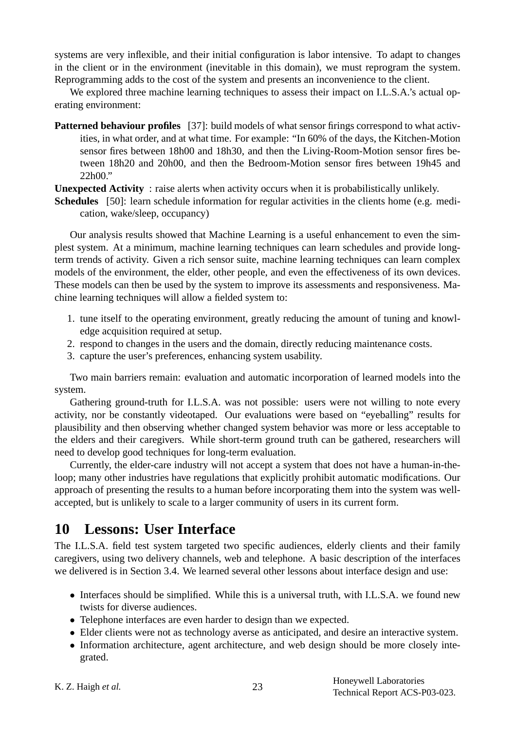systems are very inflexible, and their initial configuration is labor intensive. To adapt to changes in the client or in the environment (inevitable in this domain), we must reprogram the system. Reprogramming adds to the cost of the system and presents an inconvenience to the client.

We explored three machine learning techniques to assess their impact on I.L.S.A.'s actual operating environment:

**Patterned behaviour profiles** [37]: build models of what sensor firings correspond to what activities, in what order, and at what time. For example: "In 60% of the days, the Kitchen-Motion sensor fires between 18h00 and 18h30, and then the Living-Room-Motion sensor fires between 18h20 and 20h00, and then the Bedroom-Motion sensor fires between 19h45 and 22h00."

**Unexpected Activity** : raise alerts when activity occurs when it is probabilistically unlikely.

**Schedules** [50]: learn schedule information for regular activities in the clients home (e.g. medication, wake/sleep, occupancy)

Our analysis results showed that Machine Learning is a useful enhancement to even the simplest system. At a minimum, machine learning techniques can learn schedules and provide longterm trends of activity. Given a rich sensor suite, machine learning techniques can learn complex models of the environment, the elder, other people, and even the effectiveness of its own devices. These models can then be used by the system to improve its assessments and responsiveness. Machine learning techniques will allow a fielded system to:

- 1. tune itself to the operating environment, greatly reducing the amount of tuning and knowledge acquisition required at setup.
- 2. respond to changes in the users and the domain, directly reducing maintenance costs.
- 3. capture the user's preferences, enhancing system usability.

Two main barriers remain: evaluation and automatic incorporation of learned models into the system.

Gathering ground-truth for I.L.S.A. was not possible: users were not willing to note every activity, nor be constantly videotaped. Our evaluations were based on "eyeballing" results for plausibility and then observing whether changed system behavior was more or less acceptable to the elders and their caregivers. While short-term ground truth can be gathered, researchers will need to develop good techniques for long-term evaluation.

Currently, the elder-care industry will not accept a system that does not have a human-in-theloop; many other industries have regulations that explicitly prohibit automatic modifications. Our approach of presenting the results to a human before incorporating them into the system was wellaccepted, but is unlikely to scale to a larger community of users in its current form.

# **10 Lessons: User Interface**

The I.L.S.A. field test system targeted two specific audiences, elderly clients and their family caregivers, using two delivery channels, web and telephone. A basic description of the interfaces we delivered is in Section 3.4. We learned several other lessons about interface design and use:

- Interfaces should be simplified. While this is a universal truth, with I.L.S.A. we found new twists for diverse audiences.
- Telephone interfaces are even harder to design than we expected.
- Elder clients were not as technology averse as anticipated, and desire an interactive system.
- Information architecture, agent architecture, and web design should be more closely integrated.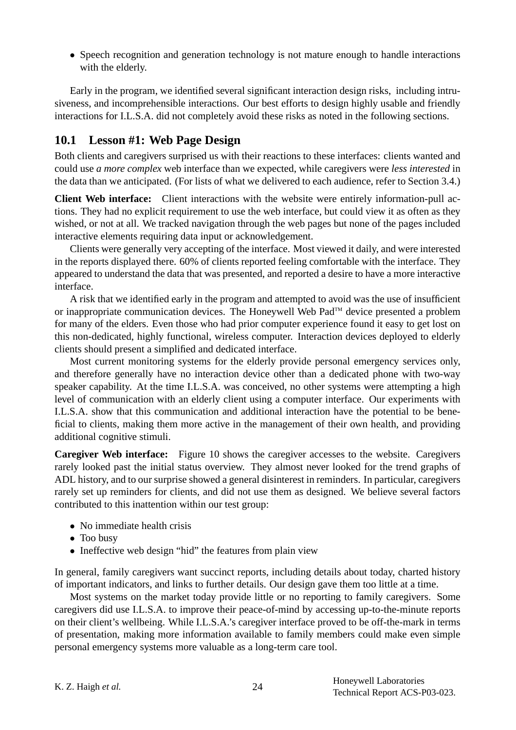• Speech recognition and generation technology is not mature enough to handle interactions with the elderly.

Early in the program, we identified several significant interaction design risks, including intrusiveness, and incomprehensible interactions. Our best efforts to design highly usable and friendly interactions for I.L.S.A. did not completely avoid these risks as noted in the following sections.

### **10.1 Lesson #1: Web Page Design**

Both clients and caregivers surprised us with their reactions to these interfaces: clients wanted and could use *a more complex* web interface than we expected, while caregivers were *less interested* in the data than we anticipated. (For lists of what we delivered to each audience, refer to Section 3.4.)

**Client Web interface:** Client interactions with the website were entirely information-pull actions. They had no explicit requirement to use the web interface, but could view it as often as they wished, or not at all. We tracked navigation through the web pages but none of the pages included interactive elements requiring data input or acknowledgement.

Clients were generally very accepting of the interface. Most viewed it daily, and were interested in the reports displayed there. 60% of clients reported feeling comfortable with the interface. They appeared to understand the data that was presented, and reported a desire to have a more interactive interface.

A risk that we identified early in the program and attempted to avoid was the use of insufficient or inappropriate communication devices. The Honeywell Web Pad™ device presented a problem for many of the elders. Even those who had prior computer experience found it easy to get lost on this non-dedicated, highly functional, wireless computer. Interaction devices deployed to elderly clients should present a simplified and dedicated interface.

Most current monitoring systems for the elderly provide personal emergency services only, and therefore generally have no interaction device other than a dedicated phone with two-way speaker capability. At the time I.L.S.A. was conceived, no other systems were attempting a high level of communication with an elderly client using a computer interface. Our experiments with I.L.S.A. show that this communication and additional interaction have the potential to be beneficial to clients, making them more active in the management of their own health, and providing additional cognitive stimuli.

**Caregiver Web interface:** Figure 10 shows the caregiver accesses to the website. Caregivers rarely looked past the initial status overview. They almost never looked for the trend graphs of ADL history, and to our surprise showed a general disinterest in reminders. In particular, caregivers rarely set up reminders for clients, and did not use them as designed. We believe several factors contributed to this inattention within our test group:

- No immediate health crisis
- Too busy
- Ineffective web design "hid" the features from plain view

In general, family caregivers want succinct reports, including details about today, charted history of important indicators, and links to further details. Our design gave them too little at a time.

Most systems on the market today provide little or no reporting to family caregivers. Some caregivers did use I.L.S.A. to improve their peace-of-mind by accessing up-to-the-minute reports on their client's wellbeing. While I.L.S.A.'s caregiver interface proved to be off-the-mark in terms of presentation, making more information available to family members could make even simple personal emergency systems more valuable as a long-term care tool.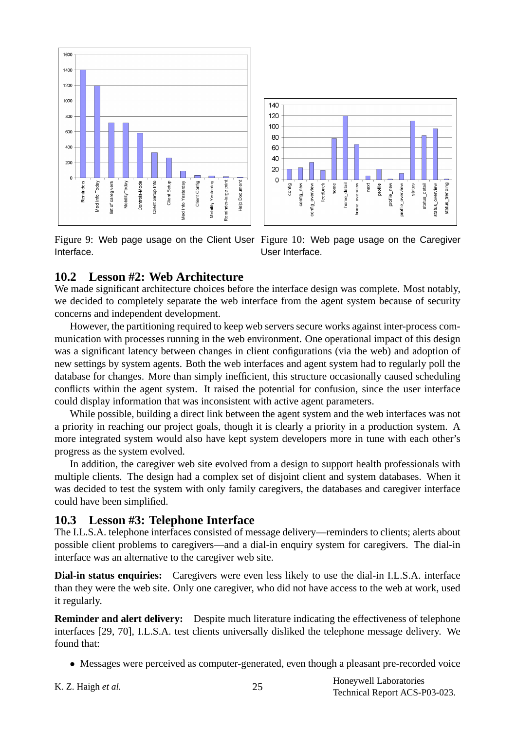



Figure 9: Web page usage on the Client User Figure 10: Web page usage on the Caregiver Interface.

User Interface.

#### **10.2 Lesson #2: Web Architecture**

We made significant architecture choices before the interface design was complete. Most notably, we decided to completely separate the web interface from the agent system because of security concerns and independent development.

However, the partitioning required to keep web servers secure works against inter-process communication with processes running in the web environment. One operational impact of this design was a significant latency between changes in client configurations (via the web) and adoption of new settings by system agents. Both the web interfaces and agent system had to regularly poll the database for changes. More than simply inefficient, this structure occasionally caused scheduling conflicts within the agent system. It raised the potential for confusion, since the user interface could display information that was inconsistent with active agent parameters.

While possible, building a direct link between the agent system and the web interfaces was not a priority in reaching our project goals, though it is clearly a priority in a production system. A more integrated system would also have kept system developers more in tune with each other's progress as the system evolved.

In addition, the caregiver web site evolved from a design to support health professionals with multiple clients. The design had a complex set of disjoint client and system databases. When it was decided to test the system with only family caregivers, the databases and caregiver interface could have been simplified.

#### **10.3 Lesson #3: Telephone Interface**

The I.L.S.A. telephone interfaces consisted of message delivery—reminders to clients; alerts about possible client problems to caregivers—and a dial-in enquiry system for caregivers. The dial-in interface was an alternative to the caregiver web site.

**Dial-in status enquiries:** Caregivers were even less likely to use the dial-in I.L.S.A. interface than they were the web site. Only one caregiver, who did not have access to the web at work, used it regularly.

**Reminder and alert delivery:** Despite much literature indicating the effectiveness of telephone interfaces [29, 70], I.L.S.A. test clients universally disliked the telephone message delivery. We found that:

- Messages were perceived as computer-generated, even though a pleasant pre-recorded voice
- 

K. Z. Haigh *et al.* 25 Honeywell Laboratories **Example 25** Honeywell Laboratories Technical Report ACS-P03-023.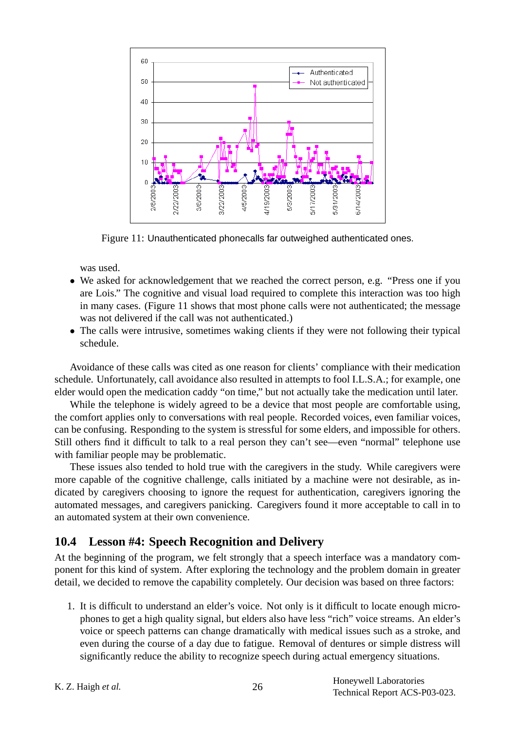

Figure 11: Unauthenticated phonecalls far outweighed authenticated ones.

was used.

- We asked for acknowledgement that we reached the correct person, e.g. "Press one if you are Lois." The cognitive and visual load required to complete this interaction was too high in many cases. (Figure 11 shows that most phone calls were not authenticated; the message was not delivered if the call was not authenticated.)
- The calls were intrusive, sometimes waking clients if they were not following their typical schedule.

Avoidance of these calls was cited as one reason for clients' compliance with their medication schedule. Unfortunately, call avoidance also resulted in attempts to fool I.L.S.A.; for example, one elder would open the medication caddy "on time," but not actually take the medication until later.

While the telephone is widely agreed to be a device that most people are comfortable using, the comfort applies only to conversations with real people. Recorded voices, even familiar voices, can be confusing. Responding to the system is stressful for some elders, and impossible for others. Still others find it difficult to talk to a real person they can't see—even "normal" telephone use with familiar people may be problematic.

These issues also tended to hold true with the caregivers in the study. While caregivers were more capable of the cognitive challenge, calls initiated by a machine were not desirable, as indicated by caregivers choosing to ignore the request for authentication, caregivers ignoring the automated messages, and caregivers panicking. Caregivers found it more acceptable to call in to an automated system at their own convenience.

### **10.4 Lesson #4: Speech Recognition and Delivery**

At the beginning of the program, we felt strongly that a speech interface was a mandatory component for this kind of system. After exploring the technology and the problem domain in greater detail, we decided to remove the capability completely. Our decision was based on three factors:

1. It is difficult to understand an elder's voice. Not only is it difficult to locate enough microphones to get a high quality signal, but elders also have less "rich" voice streams. An elder's voice or speech patterns can change dramatically with medical issues such as a stroke, and even during the course of a day due to fatigue. Removal of dentures or simple distress will significantly reduce the ability to recognize speech during actual emergency situations.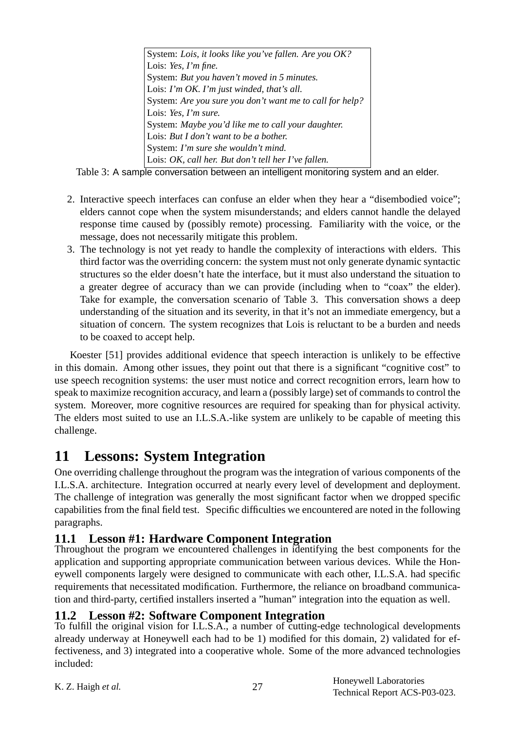System: *Lois, it looks like you've fallen. Are you OK?* Lois: *Yes, I'm fine.* System: *But you haven't moved in 5 minutes.* Lois: *I'm OK. I'm just winded, that's all.* System: *Are you sure you don't want me to call for help?* Lois: *Yes, I'm sure.* System: *Maybe you'd like me to call your daughter.* Lois: *But I don't want to be a bother.* System: *I'm sure she wouldn't mind.* Lois: *OK, call her. But don't tell her I've fallen.*

Table 3: A sample conversation between an intelligent monitoring system and an elder.

- 2. Interactive speech interfaces can confuse an elder when they hear a "disembodied voice"; elders cannot cope when the system misunderstands; and elders cannot handle the delayed response time caused by (possibly remote) processing. Familiarity with the voice, or the message, does not necessarily mitigate this problem.
- 3. The technology is not yet ready to handle the complexity of interactions with elders. This third factor was the overriding concern: the system must not only generate dynamic syntactic structures so the elder doesn't hate the interface, but it must also understand the situation to a greater degree of accuracy than we can provide (including when to "coax" the elder). Take for example, the conversation scenario of Table 3. This conversation shows a deep understanding of the situation and its severity, in that it's not an immediate emergency, but a situation of concern. The system recognizes that Lois is reluctant to be a burden and needs to be coaxed to accept help.

Koester [51] provides additional evidence that speech interaction is unlikely to be effective in this domain. Among other issues, they point out that there is a significant "cognitive cost" to use speech recognition systems: the user must notice and correct recognition errors, learn how to speak to maximize recognition accuracy, and learn a (possibly large) set of commands to control the system. Moreover, more cognitive resources are required for speaking than for physical activity. The elders most suited to use an I.L.S.A.-like system are unlikely to be capable of meeting this challenge.

# **11 Lessons: System Integration**

One overriding challenge throughout the program was the integration of various components of the I.L.S.A. architecture. Integration occurred at nearly every level of development and deployment. The challenge of integration was generally the most significant factor when we dropped specific capabilities from the final field test. Specific difficulties we encountered are noted in the following paragraphs.

## **11.1 Lesson #1: Hardware Component Integration**

Throughout the program we encountered challenges in identifying the best components for the application and supporting appropriate communication between various devices. While the Honeywell components largely were designed to communicate with each other, I.L.S.A. had specific requirements that necessitated modification. Furthermore, the reliance on broadband communication and third-party, certified installers inserted a "human" integration into the equation as well.

### **11.2 Lesson #2: Software Component Integration**

To fulfill the original vision for I.L.S.A., a number of cutting-edge technological developments already underway at Honeywell each had to be 1) modified for this domain, 2) validated for effectiveness, and 3) integrated into a cooperative whole. Some of the more advanced technologies included: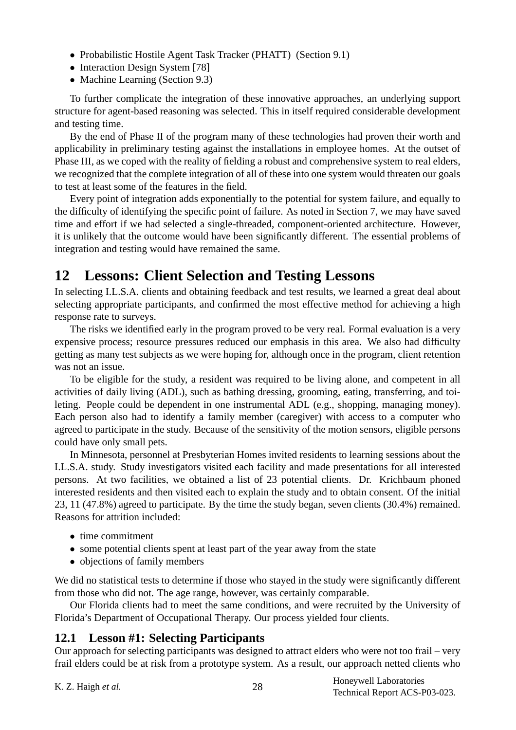- Probabilistic Hostile Agent Task Tracker (PHATT) (Section 9.1)
- Interaction Design System [78]
- Machine Learning (Section 9.3)

To further complicate the integration of these innovative approaches, an underlying support structure for agent-based reasoning was selected. This in itself required considerable development and testing time.

By the end of Phase II of the program many of these technologies had proven their worth and applicability in preliminary testing against the installations in employee homes. At the outset of Phase III, as we coped with the reality of fielding a robust and comprehensive system to real elders, we recognized that the complete integration of all of these into one system would threaten our goals to test at least some of the features in the field.

Every point of integration adds exponentially to the potential for system failure, and equally to the difficulty of identifying the specific point of failure. As noted in Section 7, we may have saved time and effort if we had selected a single-threaded, component-oriented architecture. However, it is unlikely that the outcome would have been significantly different. The essential problems of integration and testing would have remained the same.

# **12 Lessons: Client Selection and Testing Lessons**

In selecting I.L.S.A. clients and obtaining feedback and test results, we learned a great deal about selecting appropriate participants, and confirmed the most effective method for achieving a high response rate to surveys.

The risks we identified early in the program proved to be very real. Formal evaluation is a very expensive process; resource pressures reduced our emphasis in this area. We also had difficulty getting as many test subjects as we were hoping for, although once in the program, client retention was not an issue.

To be eligible for the study, a resident was required to be living alone, and competent in all activities of daily living (ADL), such as bathing dressing, grooming, eating, transferring, and toileting. People could be dependent in one instrumental ADL (e.g., shopping, managing money). Each person also had to identify a family member (caregiver) with access to a computer who agreed to participate in the study. Because of the sensitivity of the motion sensors, eligible persons could have only small pets.

In Minnesota, personnel at Presbyterian Homes invited residents to learning sessions about the I.L.S.A. study. Study investigators visited each facility and made presentations for all interested persons. At two facilities, we obtained a list of 23 potential clients. Dr. Krichbaum phoned interested residents and then visited each to explain the study and to obtain consent. Of the initial 23, 11 (47.8%) agreed to participate. By the time the study began, seven clients (30.4%) remained. Reasons for attrition included:

- time commitment
- some potential clients spent at least part of the year away from the state
- objections of family members

We did no statistical tests to determine if those who stayed in the study were significantly different from those who did not. The age range, however, was certainly comparable.

Our Florida clients had to meet the same conditions, and were recruited by the University of Florida's Department of Occupational Therapy. Our process yielded four clients.

#### **12.1 Lesson #1: Selecting Participants**

Our approach for selecting participants was designed to attract elders who were not too frail – very frail elders could be at risk from a prototype system. As a result, our approach netted clients who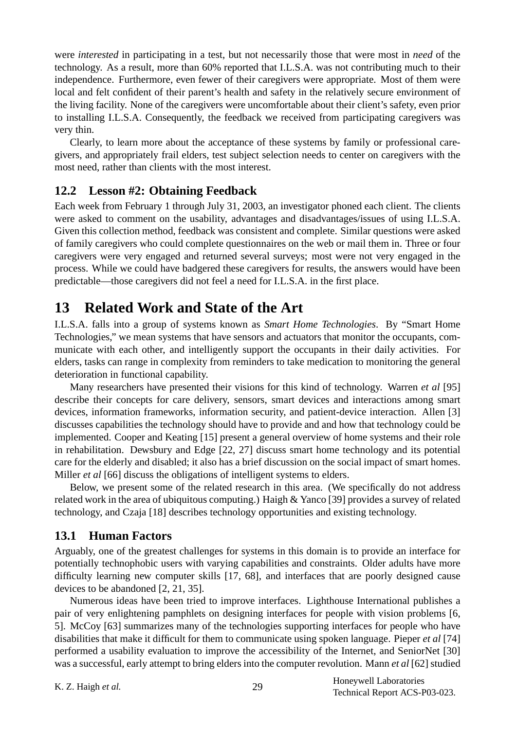were *interested* in participating in a test, but not necessarily those that were most in *need* of the technology. As a result, more than 60% reported that I.L.S.A. was not contributing much to their independence. Furthermore, even fewer of their caregivers were appropriate. Most of them were local and felt confident of their parent's health and safety in the relatively secure environment of the living facility. None of the caregivers were uncomfortable about their client's safety, even prior to installing I.L.S.A. Consequently, the feedback we received from participating caregivers was very thin.

Clearly, to learn more about the acceptance of these systems by family or professional caregivers, and appropriately frail elders, test subject selection needs to center on caregivers with the most need, rather than clients with the most interest.

### **12.2 Lesson #2: Obtaining Feedback**

Each week from February 1 through July 31, 2003, an investigator phoned each client. The clients were asked to comment on the usability, advantages and disadvantages/issues of using I.L.S.A. Given this collection method, feedback was consistent and complete. Similar questions were asked of family caregivers who could complete questionnaires on the web or mail them in. Three or four caregivers were very engaged and returned several surveys; most were not very engaged in the process. While we could have badgered these caregivers for results, the answers would have been predictable—those caregivers did not feel a need for I.L.S.A. in the first place.

# **13 Related Work and State of the Art**

I.L.S.A. falls into a group of systems known as *Smart Home Technologies*. By "Smart Home Technologies," we mean systems that have sensors and actuators that monitor the occupants, communicate with each other, and intelligently support the occupants in their daily activities. For elders, tasks can range in complexity from reminders to take medication to monitoring the general deterioration in functional capability.

Many researchers have presented their visions for this kind of technology. Warren *et al* [95] describe their concepts for care delivery, sensors, smart devices and interactions among smart devices, information frameworks, information security, and patient-device interaction. Allen [3] discusses capabilities the technology should have to provide and and how that technology could be implemented. Cooper and Keating [15] present a general overview of home systems and their role in rehabilitation. Dewsbury and Edge [22, 27] discuss smart home technology and its potential care for the elderly and disabled; it also has a brief discussion on the social impact of smart homes. Miller *et al* [66] discuss the obligations of intelligent systems to elders.

Below, we present some of the related research in this area. (We specifically do not address related work in the area of ubiquitous computing.) Haigh & Yanco [39] provides a survey of related technology, and Czaja [18] describes technology opportunities and existing technology.

#### **13.1 Human Factors**

Arguably, one of the greatest challenges for systems in this domain is to provide an interface for potentially technophobic users with varying capabilities and constraints. Older adults have more difficulty learning new computer skills [17, 68], and interfaces that are poorly designed cause devices to be abandoned [2, 21, 35].

Numerous ideas have been tried to improve interfaces. Lighthouse International publishes a pair of very enlightening pamphlets on designing interfaces for people with vision problems [6, 5]. McCoy [63] summarizes many of the technologies supporting interfaces for people who have disabilities that make it difficult for them to communicate using spoken language. Pieper *et al* [74] performed a usability evaluation to improve the accessibility of the Internet, and SeniorNet [30] was a successful, early attempt to bring elders into the computer revolution. Mann *et al* [62] studied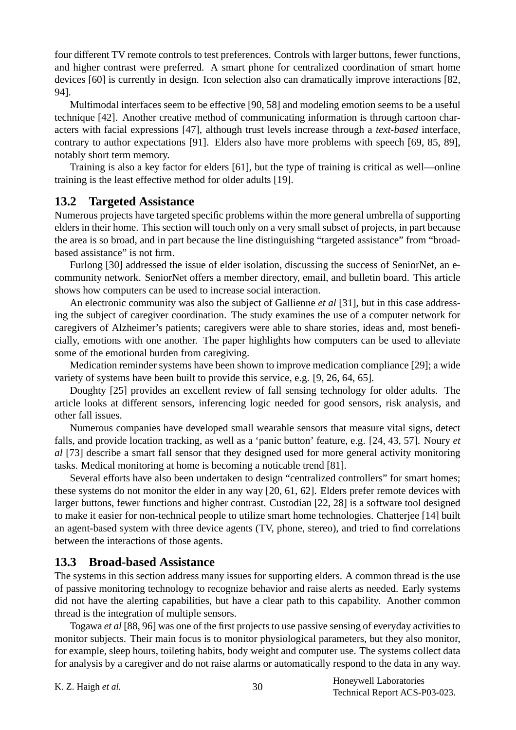four different TV remote controls to test preferences. Controls with larger buttons, fewer functions, and higher contrast were preferred. A smart phone for centralized coordination of smart home devices [60] is currently in design. Icon selection also can dramatically improve interactions [82, 94].

Multimodal interfaces seem to be effective [90, 58] and modeling emotion seems to be a useful technique [42]. Another creative method of communicating information is through cartoon characters with facial expressions [47], although trust levels increase through a *text-based* interface, contrary to author expectations [91]. Elders also have more problems with speech [69, 85, 89], notably short term memory.

Training is also a key factor for elders [61], but the type of training is critical as well—online training is the least effective method for older adults [19].

#### **13.2 Targeted Assistance**

Numerous projects have targeted specific problems within the more general umbrella of supporting elders in their home. This section will touch only on a very small subset of projects, in part because the area is so broad, and in part because the line distinguishing "targeted assistance" from "broadbased assistance" is not firm.

Furlong [30] addressed the issue of elder isolation, discussing the success of SeniorNet, an ecommunity network. SeniorNet offers a member directory, email, and bulletin board. This article shows how computers can be used to increase social interaction.

An electronic community was also the subject of Gallienne *et al* [31], but in this case addressing the subject of caregiver coordination. The study examines the use of a computer network for caregivers of Alzheimer's patients; caregivers were able to share stories, ideas and, most beneficially, emotions with one another. The paper highlights how computers can be used to alleviate some of the emotional burden from caregiving.

Medication reminder systems have been shown to improve medication compliance [29]; a wide variety of systems have been built to provide this service, e.g. [9, 26, 64, 65].

Doughty [25] provides an excellent review of fall sensing technology for older adults. The article looks at different sensors, inferencing logic needed for good sensors, risk analysis, and other fall issues.

Numerous companies have developed small wearable sensors that measure vital signs, detect falls, and provide location tracking, as well as a 'panic button' feature, e.g. [24, 43, 57]. Noury *et al* [73] describe a smart fall sensor that they designed used for more general activity monitoring tasks. Medical monitoring at home is becoming a noticable trend [81].

Several efforts have also been undertaken to design "centralized controllers" for smart homes; these systems do not monitor the elder in any way [20, 61, 62]. Elders prefer remote devices with larger buttons, fewer functions and higher contrast. Custodian [22, 28] is a software tool designed to make it easier for non-technical people to utilize smart home technologies. Chatterjee [14] built an agent-based system with three device agents (TV, phone, stereo), and tried to find correlations between the interactions of those agents.

#### **13.3 Broad-based Assistance**

The systems in this section address many issues for supporting elders. A common thread is the use of passive monitoring technology to recognize behavior and raise alerts as needed. Early systems did not have the alerting capabilities, but have a clear path to this capability. Another common thread is the integration of multiple sensors.

Togawa *et al* [88, 96] was one of the first projects to use passive sensing of everyday activities to monitor subjects. Their main focus is to monitor physiological parameters, but they also monitor, for example, sleep hours, toileting habits, body weight and computer use. The systems collect data for analysis by a caregiver and do not raise alarms or automatically respond to the data in any way.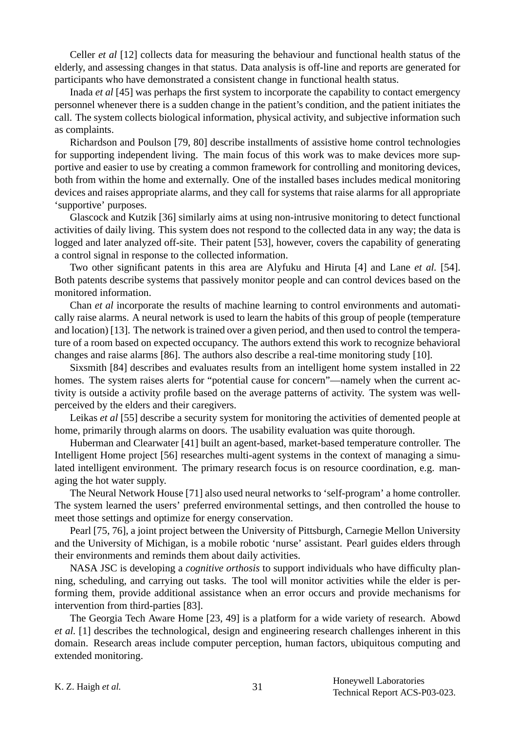Celler *et al* [12] collects data for measuring the behaviour and functional health status of the elderly, and assessing changes in that status. Data analysis is off-line and reports are generated for participants who have demonstrated a consistent change in functional health status.

Inada *et al* [45] was perhaps the first system to incorporate the capability to contact emergency personnel whenever there is a sudden change in the patient's condition, and the patient initiates the call. The system collects biological information, physical activity, and subjective information such as complaints.

Richardson and Poulson [79, 80] describe installments of assistive home control technologies for supporting independent living. The main focus of this work was to make devices more supportive and easier to use by creating a common framework for controlling and monitoring devices, both from within the home and externally. One of the installed bases includes medical monitoring devices and raises appropriate alarms, and they call for systems that raise alarms for all appropriate 'supportive' purposes.

Glascock and Kutzik [36] similarly aims at using non-intrusive monitoring to detect functional activities of daily living. This system does not respond to the collected data in any way; the data is logged and later analyzed off-site. Their patent [53], however, covers the capability of generating a control signal in response to the collected information.

Two other significant patents in this area are Alyfuku and Hiruta [4] and Lane *et al.* [54]. Both patents describe systems that passively monitor people and can control devices based on the monitored information.

Chan *et al* incorporate the results of machine learning to control environments and automatically raise alarms. A neural network is used to learn the habits of this group of people (temperature and location) [13]. The network is trained over a given period, and then used to control the temperature of a room based on expected occupancy. The authors extend this work to recognize behavioral changes and raise alarms [86]. The authors also describe a real-time monitoring study [10].

Sixsmith [84] describes and evaluates results from an intelligent home system installed in 22 homes. The system raises alerts for "potential cause for concern"—namely when the current activity is outside a activity profile based on the average patterns of activity. The system was wellperceived by the elders and their caregivers.

Leikas *et al* [55] describe a security system for monitoring the activities of demented people at home, primarily through alarms on doors. The usability evaluation was quite thorough.

Huberman and Clearwater [41] built an agent-based, market-based temperature controller. The Intelligent Home project [56] researches multi-agent systems in the context of managing a simulated intelligent environment. The primary research focus is on resource coordination, e.g. managing the hot water supply.

The Neural Network House [71] also used neural networks to 'self-program' a home controller. The system learned the users' preferred environmental settings, and then controlled the house to meet those settings and optimize for energy conservation.

Pearl [75, 76], a joint project between the University of Pittsburgh, Carnegie Mellon University and the University of Michigan, is a mobile robotic 'nurse' assistant. Pearl guides elders through their environments and reminds them about daily activities.

NASA JSC is developing a *cognitive orthosis* to support individuals who have difficulty planning, scheduling, and carrying out tasks. The tool will monitor activities while the elder is performing them, provide additional assistance when an error occurs and provide mechanisms for intervention from third-parties [83].

The Georgia Tech Aware Home [23, 49] is a platform for a wide variety of research. Abowd *et al.* [1] describes the technological, design and engineering research challenges inherent in this domain. Research areas include computer perception, human factors, ubiquitous computing and extended monitoring.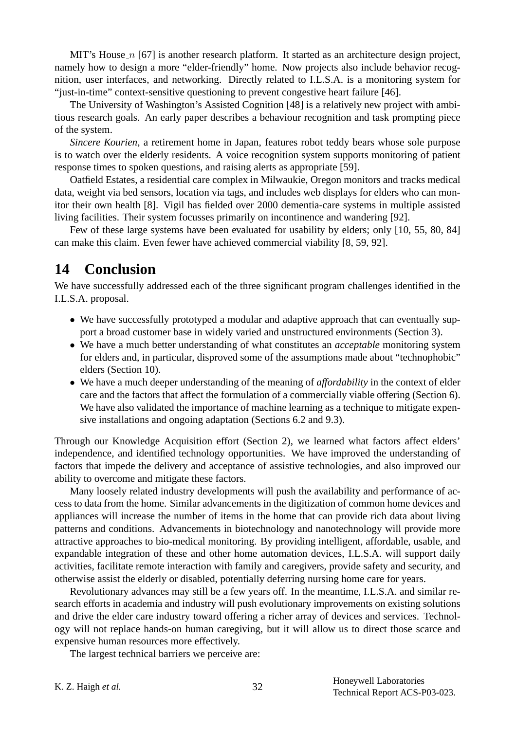MIT's House  $n$  [67] is another research platform. It started as an architecture design project, namely how to design a more "elder-friendly" home. Now projects also include behavior recognition, user interfaces, and networking. Directly related to I.L.S.A. is a monitoring system for "just-in-time" context-sensitive questioning to prevent congestive heart failure [46].

The University of Washington's Assisted Cognition [48] is a relatively new project with ambitious research goals. An early paper describes a behaviour recognition and task prompting piece of the system.

*Sincere Kourien*, a retirement home in Japan, features robot teddy bears whose sole purpose is to watch over the elderly residents. A voice recognition system supports monitoring of patient response times to spoken questions, and raising alerts as appropriate [59].

Oatfield Estates, a residential care complex in Milwaukie, Oregon monitors and tracks medical data, weight via bed sensors, location via tags, and includes web displays for elders who can monitor their own health [8]. Vigil has fielded over 2000 dementia-care systems in multiple assisted living facilities. Their system focusses primarily on incontinence and wandering [92].

Few of these large systems have been evaluated for usability by elders; only [10, 55, 80, 84] can make this claim. Even fewer have achieved commercial viability [8, 59, 92].

# **14 Conclusion**

We have successfully addressed each of the three significant program challenges identified in the I.L.S.A. proposal.

- We have successfully prototyped a modular and adaptive approach that can eventually support a broad customer base in widely varied and unstructured environments (Section 3).
- We have a much better understanding of what constitutes an *acceptable* monitoring system for elders and, in particular, disproved some of the assumptions made about "technophobic" elders (Section 10).
- We have a much deeper understanding of the meaning of *affordability* in the context of elder care and the factors that affect the formulation of a commercially viable offering (Section 6). We have also validated the importance of machine learning as a technique to mitigate expensive installations and ongoing adaptation (Sections 6.2 and 9.3).

Through our Knowledge Acquisition effort (Section 2), we learned what factors affect elders' independence, and identified technology opportunities. We have improved the understanding of factors that impede the delivery and acceptance of assistive technologies, and also improved our ability to overcome and mitigate these factors.

Many loosely related industry developments will push the availability and performance of access to data from the home. Similar advancements in the digitization of common home devices and appliances will increase the number of items in the home that can provide rich data about living patterns and conditions. Advancements in biotechnology and nanotechnology will provide more attractive approaches to bio-medical monitoring. By providing intelligent, affordable, usable, and expandable integration of these and other home automation devices, I.L.S.A. will support daily activities, facilitate remote interaction with family and caregivers, provide safety and security, and otherwise assist the elderly or disabled, potentially deferring nursing home care for years.

Revolutionary advances may still be a few years off. In the meantime, I.L.S.A. and similar research efforts in academia and industry will push evolutionary improvements on existing solutions and drive the elder care industry toward offering a richer array of devices and services. Technology will not replace hands-on human caregiving, but it will allow us to direct those scarce and expensive human resources more effectively.

The largest technical barriers we perceive are: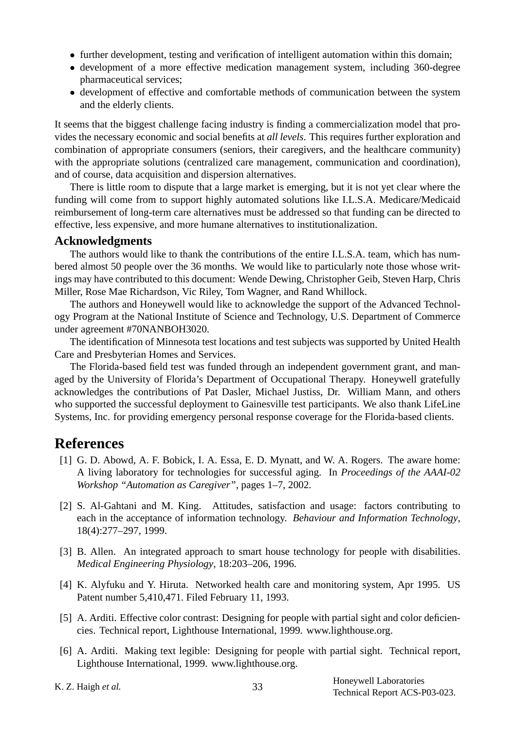- further development, testing and verification of intelligent automation within this domain;
- development of a more effective medication management system, including 360-degree pharmaceutical services;
- development of effective and comfortable methods of communication between the system and the elderly clients.

It seems that the biggest challenge facing industry is finding a commercialization model that provides the necessary economic and social benefits at *all levels*. This requires further exploration and combination of appropriate consumers (seniors, their caregivers, and the healthcare community) with the appropriate solutions (centralized care management, communication and coordination), and of course, data acquisition and dispersion alternatives.

There is little room to dispute that a large market is emerging, but it is not yet clear where the funding will come from to support highly automated solutions like I.L.S.A. Medicare/Medicaid reimbursement of long-term care alternatives must be addressed so that funding can be directed to effective, less expensive, and more humane alternatives to institutionalization.

#### **Acknowledgments**

The authors would like to thank the contributions of the entire I.L.S.A. team, which has numbered almost 50 people over the 36 months. We would like to particularly note those whose writings may have contributed to this document: Wende Dewing, Christopher Geib, Steven Harp, Chris Miller, Rose Mae Richardson, Vic Riley, Tom Wagner, and Rand Whillock.

The authors and Honeywell would like to acknowledge the support of the Advanced Technology Program at the National Institute of Science and Technology, U.S. Department of Commerce under agreement #70NANBOH3020.

The identification of Minnesota test locations and test subjects was supported by United Health Care and Presbyterian Homes and Services.

The Florida-based field test was funded through an independent government grant, and managed by the University of Florida's Department of Occupational Therapy. Honeywell gratefully acknowledges the contributions of Pat Dasler, Michael Justiss, Dr. William Mann, and others who supported the successful deployment to Gainesville test participants. We also thank LifeLine Systems, Inc. for providing emergency personal response coverage for the Florida-based clients.

## **References**

- [1] G. D. Abowd, A. F. Bobick, I. A. Essa, E. D. Mynatt, and W. A. Rogers. The aware home: A living laboratory for technologies for successful aging. In *Proceedings of the AAAI-02 Workshop "Automation as Caregiver"*, pages 1–7, 2002.
- [2] S. Al-Gahtani and M. King. Attitudes, satisfaction and usage: factors contributing to each in the acceptance of information technology. *Behaviour and Information Technology*, 18(4):277–297, 1999.
- [3] B. Allen. An integrated approach to smart house technology for people with disabilities. *Medical Engineering Physiology*, 18:203–206, 1996.
- [4] K. Alyfuku and Y. Hiruta. Networked health care and monitoring system, Apr 1995. US Patent number 5,410,471. Filed February 11, 1993.
- [5] A. Arditi. Effective color contrast: Designing for people with partial sight and color deficiencies. Technical report, Lighthouse International, 1999. www.lighthouse.org.
- [6] A. Arditi. Making text legible: Designing for people with partial sight. Technical report, Lighthouse International, 1999. www.lighthouse.org.
-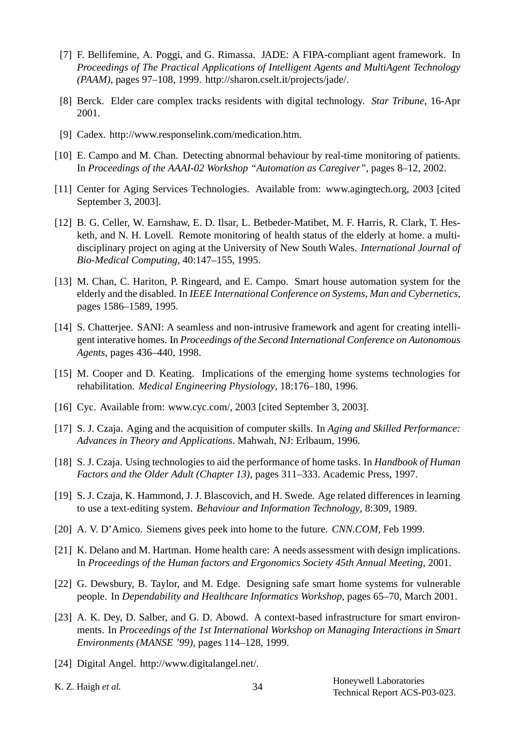- [7] F. Bellifemine, A. Poggi, and G. Rimassa. JADE: A FIPA-compliant agent framework. In *Proceedings of The Practical Applications of Intelligent Agents and MultiAgent Technology (PAAM)*, pages 97–108, 1999. http://sharon.cselt.it/projects/jade/.
- [8] Berck. Elder care complex tracks residents with digital technology. *Star Tribune*, 16-Apr 2001.
- [9] Cadex. http://www.responselink.com/medication.htm.
- [10] E. Campo and M. Chan. Detecting abnormal behaviour by real-time monitoring of patients. In *Proceedings of the AAAI-02 Workshop "Automation as Caregiver"*, pages 8–12, 2002.
- [11] Center for Aging Services Technologies. Available from: www.agingtech.org, 2003 [cited September 3, 2003].
- [12] B. G. Celler, W. Earnshaw, E. D. Ilsar, L. Betbeder-Matibet, M. F. Harris, R. Clark, T. Hesketh, and N. H. Lovell. Remote monitoring of health status of the elderly at home. a multidisciplinary project on aging at the University of New South Wales. *International Journal of Bio-Medical Computing*, 40:147–155, 1995.
- [13] M. Chan, C. Hariton, P. Ringeard, and E. Campo. Smart house automation system for the elderly and the disabled. In *IEEE International Conference on Systems, Man and Cybernetics*, pages 1586–1589, 1995.
- [14] S. Chatterjee. SANI: A seamless and non-intrusive framework and agent for creating intelligent interative homes. In *Proceedings of the Second International Conference on Autonomous Agents*, pages 436–440, 1998.
- [15] M. Cooper and D. Keating. Implications of the emerging home systems technologies for rehabilitation. *Medical Engineering Physiology*, 18:176–180, 1996.
- [16] Cyc. Available from: www.cyc.com/, 2003 [cited September 3, 2003].
- [17] S. J. Czaja. Aging and the acquisition of computer skills. In *Aging and Skilled Performance: Advances in Theory and Applications*. Mahwah, NJ: Erlbaum, 1996.
- [18] S. J. Czaja. Using technologies to aid the performance of home tasks. In *Handbook of Human Factors and the Older Adult (Chapter 13)*, pages 311–333. Academic Press, 1997.
- [19] S. J. Czaja, K. Hammond, J. J. Blascovich, and H. Swede. Age related differences in learning to use a text-editing system. *Behaviour and Information Technology*, 8:309, 1989.
- [20] A. V. D'Amico. Siemens gives peek into home to the future. *CNN.COM*, Feb 1999.
- [21] K. Delano and M. Hartman. Home health care: A needs assessment with design implications. In *Proceedings of the Human factors and Ergonomics Society 45th Annual Meeting*, 2001.
- [22] G. Dewsbury, B. Taylor, and M. Edge. Designing safe smart home systems for vulnerable people. In *Dependability and Healthcare Informatics Workshop*, pages 65–70, March 2001.
- [23] A. K. Dey, D. Salber, and G. D. Abowd. A context-based infrastructure for smart environments. In *Proceedings of the 1st International Workshop on Managing Interactions in Smart Environments (MANSE '99)*, pages 114–128, 1999.
- [24] Digital Angel. http://www.digitalangel.net/.
-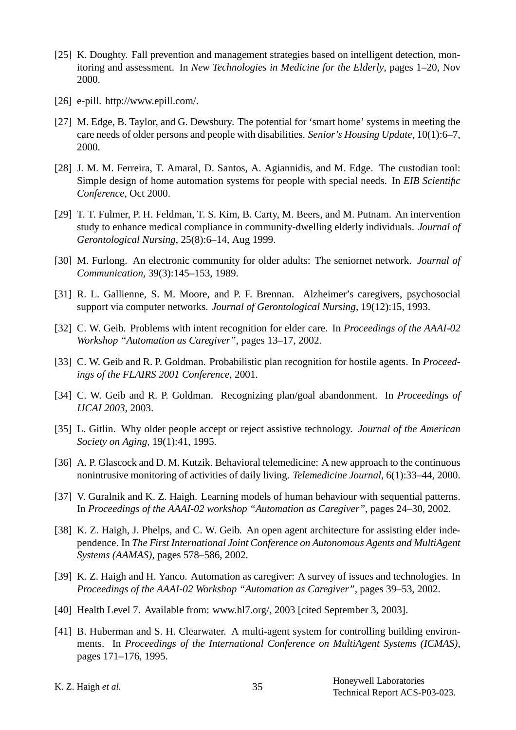- [25] K. Doughty. Fall prevention and management strategies based on intelligent detection, monitoring and assessment. In *New Technologies in Medicine for the Elderly*, pages 1–20, Nov 2000.
- [26] e-pill. http://www.epill.com/.
- [27] M. Edge, B. Taylor, and G. Dewsbury. The potential for 'smart home' systems in meeting the care needs of older persons and people with disabilities. *Senior's Housing Update*, 10(1):6–7, 2000.
- [28] J. M. M. Ferreira, T. Amaral, D. Santos, A. Agiannidis, and M. Edge. The custodian tool: Simple design of home automation systems for people with special needs. In *EIB Scientific Conference*, Oct 2000.
- [29] T. T. Fulmer, P. H. Feldman, T. S. Kim, B. Carty, M. Beers, and M. Putnam. An intervention study to enhance medical compliance in community-dwelling elderly individuals. *Journal of Gerontological Nursing*, 25(8):6–14, Aug 1999.
- [30] M. Furlong. An electronic community for older adults: The seniornet network. *Journal of Communication*, 39(3):145–153, 1989.
- [31] R. L. Gallienne, S. M. Moore, and P. F. Brennan. Alzheimer's caregivers, psychosocial support via computer networks. *Journal of Gerontological Nursing*, 19(12):15, 1993.
- [32] C. W. Geib. Problems with intent recognition for elder care. In *Proceedings of the AAAI-02 Workshop "Automation as Caregiver"*, pages 13–17, 2002.
- [33] C. W. Geib and R. P. Goldman. Probabilistic plan recognition for hostile agents. In *Proceedings of the FLAIRS 2001 Conference*, 2001.
- [34] C. W. Geib and R. P. Goldman. Recognizing plan/goal abandonment. In *Proceedings of IJCAI 2003*, 2003.
- [35] L. Gitlin. Why older people accept or reject assistive technology. *Journal of the American Society on Aging*, 19(1):41, 1995.
- [36] A. P. Glascock and D. M. Kutzik. Behavioral telemedicine: A new approach to the continuous nonintrusive monitoring of activities of daily living. *Telemedicine Journal*, 6(1):33–44, 2000.
- [37] V. Guralnik and K. Z. Haigh. Learning models of human behaviour with sequential patterns. In *Proceedings of the AAAI-02 workshop "Automation as Caregiver"*, pages 24–30, 2002.
- [38] K. Z. Haigh, J. Phelps, and C. W. Geib. An open agent architecture for assisting elder independence. In *The First International Joint Conference on Autonomous Agents and MultiAgent Systems (AAMAS)*, pages 578–586, 2002.
- [39] K. Z. Haigh and H. Yanco. Automation as caregiver: A survey of issues and technologies. In *Proceedings of the AAAI-02 Workshop "Automation as Caregiver"*, pages 39–53, 2002.
- [40] Health Level 7. Available from: www.hl7.org/, 2003 [cited September 3, 2003].
- [41] B. Huberman and S. H. Clearwater. A multi-agent system for controlling building environments. In *Proceedings of the International Conference on MultiAgent Systems (ICMAS)*, pages 171–176, 1995.
-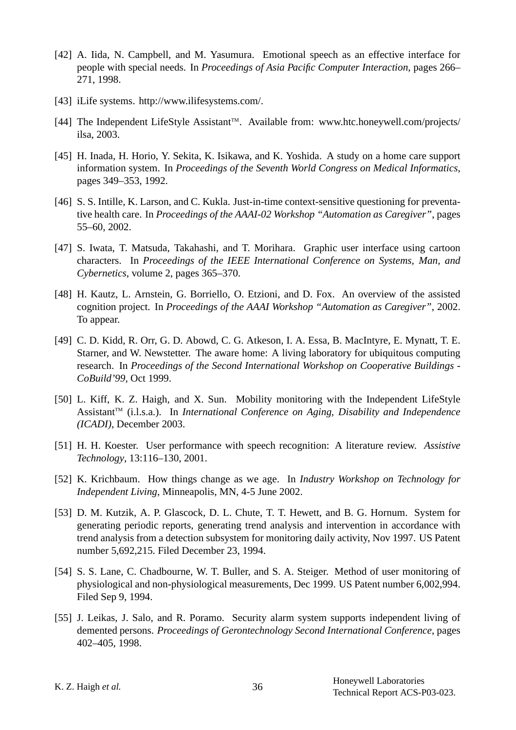- [42] A. Iida, N. Campbell, and M. Yasumura. Emotional speech as an effective interface for people with special needs. In *Proceedings of Asia Pacific Computer Interaction*, pages 266– 271, 1998.
- [43] iLife systems. http://www.ilifesystems.com/.
- [44] The Independent LifeStyle Assistant™. Available from: www.htc.honeywell.com/projects/ ilsa, 2003.
- [45] H. Inada, H. Horio, Y. Sekita, K. Isikawa, and K. Yoshida. A study on a home care support information system. In *Proceedings of the Seventh World Congress on Medical Informatics*, pages 349–353, 1992.
- [46] S. S. Intille, K. Larson, and C. Kukla. Just-in-time context-sensitive questioning for preventative health care. In *Proceedings of the AAAI-02 Workshop "Automation as Caregiver"*, pages 55–60, 2002.
- [47] S. Iwata, T. Matsuda, Takahashi, and T. Morihara. Graphic user interface using cartoon characters. In *Proceedings of the IEEE International Conference on Systems, Man, and Cybernetics*, volume 2, pages 365–370.
- [48] H. Kautz, L. Arnstein, G. Borriello, O. Etzioni, and D. Fox. An overview of the assisted cognition project. In *Proceedings of the AAAI Workshop "Automation as Caregiver"*, 2002. To appear.
- [49] C. D. Kidd, R. Orr, G. D. Abowd, C. G. Atkeson, I. A. Essa, B. MacIntyre, E. Mynatt, T. E. Starner, and W. Newstetter. The aware home: A living laboratory for ubiquitous computing research. In *Proceedings of the Second International Workshop on Cooperative Buildings - CoBuild'99*, Oct 1999.
- [50] L. Kiff, K. Z. Haigh, and X. Sun. Mobility monitoring with the Independent LifeStyle AssistantTM (i.l.s.a.). In *International Conference on Aging, Disability and Independence (ICADI)*, December 2003.
- [51] H. H. Koester. User performance with speech recognition: A literature review. *Assistive Technology*, 13:116–130, 2001.
- [52] K. Krichbaum. How things change as we age. In *Industry Workshop on Technology for Independent Living*, Minneapolis, MN, 4-5 June 2002.
- [53] D. M. Kutzik, A. P. Glascock, D. L. Chute, T. T. Hewett, and B. G. Hornum. System for generating periodic reports, generating trend analysis and intervention in accordance with trend analysis from a detection subsystem for monitoring daily activity, Nov 1997. US Patent number 5,692,215. Filed December 23, 1994.
- [54] S. S. Lane, C. Chadbourne, W. T. Buller, and S. A. Steiger. Method of user monitoring of physiological and non-physiological measurements, Dec 1999. US Patent number 6,002,994. Filed Sep 9, 1994.
- [55] J. Leikas, J. Salo, and R. Poramo. Security alarm system supports independent living of demented persons. *Proceedings of Gerontechnology Second International Conference*, pages 402–405, 1998.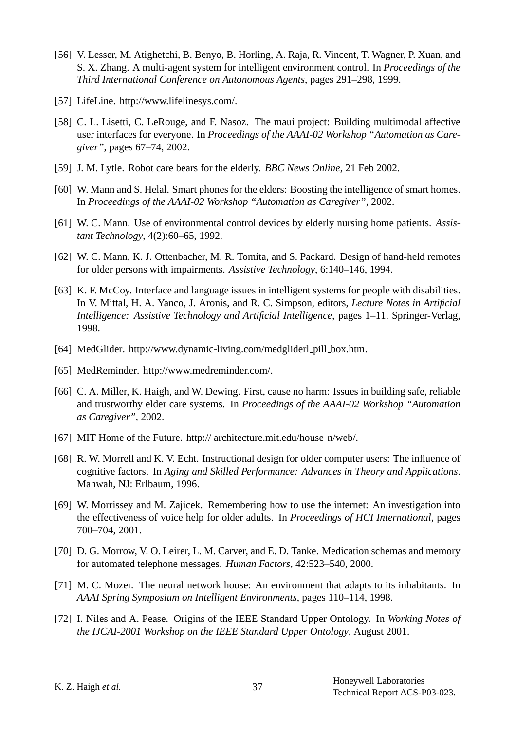- [56] V. Lesser, M. Atighetchi, B. Benyo, B. Horling, A. Raja, R. Vincent, T. Wagner, P. Xuan, and S. X. Zhang. A multi-agent system for intelligent environment control. In *Proceedings of the Third International Conference on Autonomous Agents*, pages 291–298, 1999.
- [57] LifeLine. http://www.lifelinesys.com/.
- [58] C. L. Lisetti, C. LeRouge, and F. Nasoz. The maui project: Building multimodal affective user interfaces for everyone. In *Proceedings of the AAAI-02 Workshop "Automation as Caregiver"*, pages 67–74, 2002.
- [59] J. M. Lytle. Robot care bears for the elderly. *BBC News Online*, 21 Feb 2002.
- [60] W. Mann and S. Helal. Smart phones for the elders: Boosting the intelligence of smart homes. In *Proceedings of the AAAI-02 Workshop "Automation as Caregiver"*, 2002.
- [61] W. C. Mann. Use of environmental control devices by elderly nursing home patients. *Assistant Technology*, 4(2):60–65, 1992.
- [62] W. C. Mann, K. J. Ottenbacher, M. R. Tomita, and S. Packard. Design of hand-held remotes for older persons with impairments. *Assistive Technology*, 6:140–146, 1994.
- [63] K. F. McCoy. Interface and language issues in intelligent systems for people with disabilities. In V. Mittal, H. A. Yanco, J. Aronis, and R. C. Simpson, editors, *Lecture Notes in Artificial Intelligence: Assistive Technology and Artificial Intelligence*, pages 1–11. Springer-Verlag, 1998.
- [64] MedGlider. http://www.dynamic-living.com/medgliderl\_pill\_box.htm.
- [65] MedReminder. http://www.medreminder.com/.
- [66] C. A. Miller, K. Haigh, and W. Dewing. First, cause no harm: Issues in building safe, reliable and trustworthy elder care systems. In *Proceedings of the AAAI-02 Workshop "Automation as Caregiver"*, 2002.
- [67] MIT Home of the Future. http:// architecture.mit.edu/house n/web/.
- [68] R. W. Morrell and K. V. Echt. Instructional design for older computer users: The influence of cognitive factors. In *Aging and Skilled Performance: Advances in Theory and Applications*. Mahwah, NJ: Erlbaum, 1996.
- [69] W. Morrissey and M. Zajicek. Remembering how to use the internet: An investigation into the effectiveness of voice help for older adults. In *Proceedings of HCI International*, pages 700–704, 2001.
- [70] D. G. Morrow, V. O. Leirer, L. M. Carver, and E. D. Tanke. Medication schemas and memory for automated telephone messages. *Human Factors*, 42:523–540, 2000.
- [71] M. C. Mozer. The neural network house: An environment that adapts to its inhabitants. In *AAAI Spring Symposium on Intelligent Environments*, pages 110–114, 1998.
- [72] I. Niles and A. Pease. Origins of the IEEE Standard Upper Ontology. In *Working Notes of the IJCAI-2001 Workshop on the IEEE Standard Upper Ontology*, August 2001.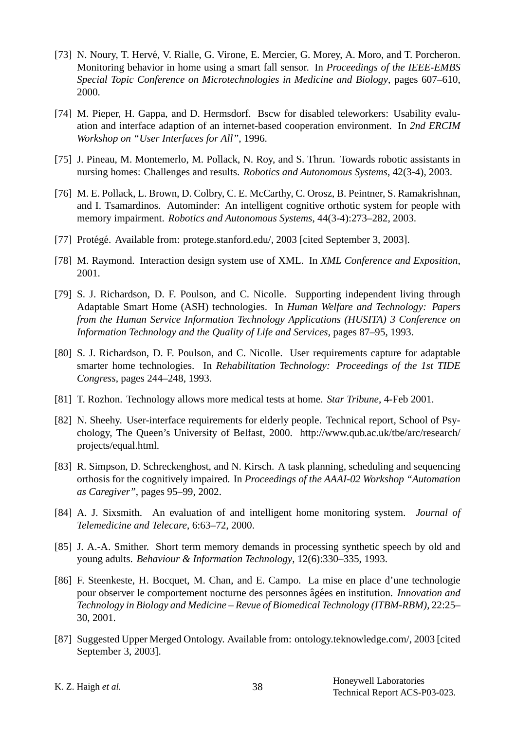- [73] N. Noury, T. Hervé, V. Rialle, G. Virone, E. Mercier, G. Morey, A. Moro, and T. Porcheron. Monitoring behavior in home using a smart fall sensor. In *Proceedings of the IEEE-EMBS Special Topic Conference on Microtechnologies in Medicine and Biology*, pages 607–610, 2000.
- [74] M. Pieper, H. Gappa, and D. Hermsdorf. Bscw for disabled teleworkers: Usability evaluation and interface adaption of an internet-based cooperation environment. In *2nd ERCIM Workshop on "User Interfaces for All"*, 1996.
- [75] J. Pineau, M. Montemerlo, M. Pollack, N. Roy, and S. Thrun. Towards robotic assistants in nursing homes: Challenges and results. *Robotics and Autonomous Systems*, 42(3-4), 2003.
- [76] M. E. Pollack, L. Brown, D. Colbry, C. E. McCarthy, C. Orosz, B. Peintner, S. Ramakrishnan, and I. Tsamardinos. Autominder: An intelligent cognitive orthotic system for people with memory impairment. *Robotics and Autonomous Systems*, 44(3-4):273–282, 2003.
- [77] Protégé. Available from: protege.stanford.edu/, 2003 [cited September 3, 2003].
- [78] M. Raymond. Interaction design system use of XML. In *XML Conference and Exposition*, 2001.
- [79] S. J. Richardson, D. F. Poulson, and C. Nicolle. Supporting independent living through Adaptable Smart Home (ASH) technologies. In *Human Welfare and Technology: Papers from the Human Service Information Technology Applications (HUSITA) 3 Conference on Information Technology and the Quality of Life and Services*, pages 87–95, 1993.
- [80] S. J. Richardson, D. F. Poulson, and C. Nicolle. User requirements capture for adaptable smarter home technologies. In *Rehabilitation Technology: Proceedings of the 1st TIDE Congress*, pages 244–248, 1993.
- [81] T. Rozhon. Technology allows more medical tests at home. *Star Tribune*, 4-Feb 2001.
- [82] N. Sheehy. User-interface requirements for elderly people. Technical report, School of Psychology, The Queen's University of Belfast, 2000. http://www.qub.ac.uk/tbe/arc/research/ projects/equal.html.
- [83] R. Simpson, D. Schreckenghost, and N. Kirsch. A task planning, scheduling and sequencing orthosis for the cognitively impaired. In *Proceedings of the AAAI-02 Workshop "Automation as Caregiver"*, pages 95–99, 2002.
- [84] A. J. Sixsmith. An evaluation of and intelligent home monitoring system. *Journal of Telemedicine and Telecare*, 6:63–72, 2000.
- [85] J. A.-A. Smither. Short term memory demands in processing synthetic speech by old and young adults. *Behaviour & Information Technology*, 12(6):330–335, 1993.
- [86] F. Steenkeste, H. Bocquet, M. Chan, and E. Campo. La mise en place d'une technologie pour observer le comportement nocturne des personnes âgées en institution. *Innovation and Technology in Biology and Medicine – Revue of Biomedical Technology (ITBM-RBM)*, 22:25– 30, 2001.
- [87] Suggested Upper Merged Ontology. Available from: ontology.teknowledge.com/, 2003 [cited September 3, 2003].